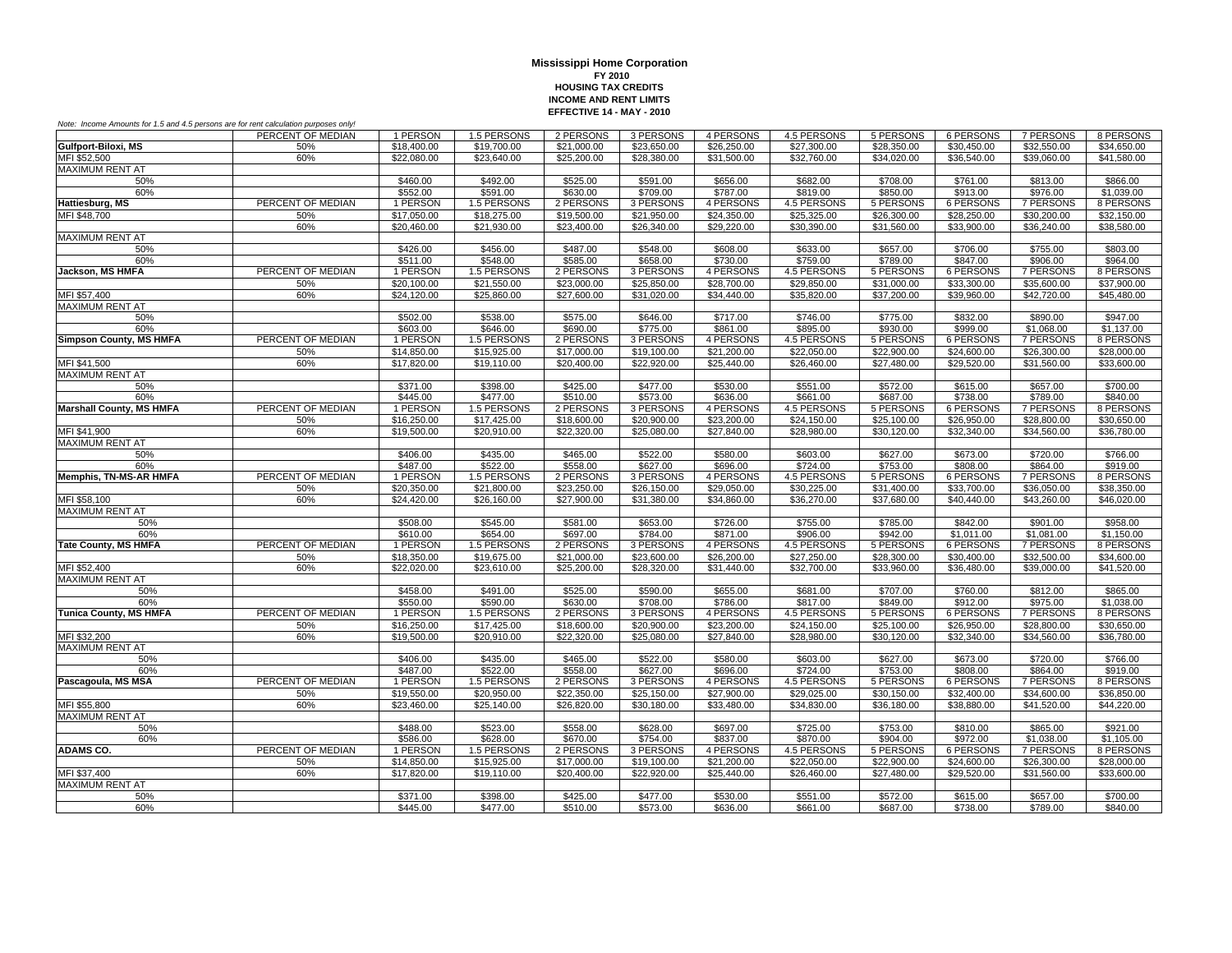| Note: Income Amounts for 1.5 and 4.5 persons are for rent calculation purposes only! |                   |             |             |             |             |             |                         |             |                  |                  |             |
|--------------------------------------------------------------------------------------|-------------------|-------------|-------------|-------------|-------------|-------------|-------------------------|-------------|------------------|------------------|-------------|
|                                                                                      | PERCENT OF MEDIAN | 1 PERSON    | 1.5 PERSONS | 2 PERSONS   | 3 PERSONS   | 4 PERSONS   | 4.5 PERSONS             | 5 PERSONS   | 6 PERSONS        | 7 PERSONS        | 8 PERSONS   |
| Gulfport-Biloxi, MS                                                                  | 50%               | \$18,400.00 | \$19,700.00 | \$21,000.00 | \$23,650.00 | \$26,250.00 | $\overline{$27,300.00}$ | \$28,350.00 | \$30,450.00      | \$32,550.00      | \$34,650.00 |
| MFI \$52,500                                                                         | 60%               | \$22,080.00 | \$23,640.00 | \$25,200.00 | \$28,380.00 | \$31,500.00 | \$32,760.00             | \$34,020.00 | \$36,540.00      | \$39,060,00      | \$41,580.00 |
| <b>MAXIMUM RENT AT</b>                                                               |                   |             |             |             |             |             |                         |             |                  |                  |             |
| 50%                                                                                  |                   | \$460.00    | \$492.00    | \$525.00    | \$591.00    | \$656.00    | \$682.00                | \$708.00    | \$761.00         | \$813.00         | \$866.00    |
| 60%                                                                                  |                   | \$552.00    | \$591.00    | \$630.00    | \$709.00    | \$787.00    | \$819.00                | \$850.00    | \$913.00         | \$976.00         | \$1,039.00  |
| Hattiesburg, MS                                                                      | PERCENT OF MEDIAN | 1 PERSON    | 1.5 PERSONS | 2 PERSONS   | 3 PERSONS   | 4 PERSONS   | 4.5 PERSONS             | 5 PERSONS   | <b>6 PERSONS</b> | <b>7 PERSONS</b> | 8 PERSONS   |
| MFI \$48,700                                                                         | 50%               | \$17,050.00 | \$18,275.00 | \$19,500.00 | \$21,950.00 | \$24,350.00 | \$25,325.00             | \$26,300.00 | \$28,250.00      | \$30,200.00      | \$32,150.00 |
|                                                                                      | 60%               | \$20,460.00 | \$21,930.00 | \$23,400.00 | \$26,340.00 | \$29,220.00 | \$30,390.00             | \$31,560.00 | \$33,900.00      | \$36,240.00      | \$38,580.00 |
| <b>MAXIMUM RENT AT</b>                                                               |                   |             |             |             |             |             |                         |             |                  |                  |             |
| 50%                                                                                  |                   | \$426.00    | \$456.00    | \$487.00    | \$548.00    | \$608.00    | \$633.00                | \$657.00    | \$706.00         | \$755.00         | \$803.00    |
| 60%                                                                                  |                   | 5511.00     | \$548.00    | \$585.00    | \$658.00    | \$730.00    | \$759.00                | \$789.00    | \$847.00         | \$906.00         | \$964.00    |
| Jackson, MS HMFA                                                                     | PERCENT OF MEDIAN | 1 PERSON    | 1.5 PERSONS | 2 PERSONS   | 3 PERSONS   | 4 PERSONS   | 4.5 PERSONS             | 5 PERSONS   | 6 PERSONS        | 7 PERSONS        | 8 PERSONS   |
|                                                                                      | 50%               | \$20,100.00 | \$21,550.00 | \$23,000.00 | \$25,850.00 | \$28,700.00 | \$29,850.00             | \$31,000.00 | \$33,300.00      | \$35,600.00      | \$37,900.00 |
| MFI \$57,400                                                                         | 60%               | \$24,120.00 | \$25,860.00 | \$27,600.00 | \$31,020.00 | \$34,440.00 | \$35,820.00             | \$37,200.00 | \$39,960.00      | \$42,720.00      | \$45,480.00 |
| <b>MAXIMUM RENT AT</b>                                                               |                   |             |             |             |             |             |                         |             |                  |                  |             |
| 50%                                                                                  |                   | \$502.00    | \$538.00    | \$575.00    | \$646.00    | \$717.00    | \$746.00                | \$775.00    | \$832.00         | \$890.00         | \$947.00    |
| 60%                                                                                  |                   | \$603.00    | \$646.00    | \$690.00    | \$775.00    | \$861.00    | \$895.00                | \$930.00    | \$999.00         | \$1,068.00       | \$1.137.00  |
| <b>Simpson County, MS HMFA</b>                                                       | PERCENT OF MEDIAN | 1 PERSON    | 1.5 PERSONS | 2 PERSONS   | 3 PERSONS   | 4 PERSONS   | 4.5 PERSONS             | 5 PERSONS   | 6 PERSONS        | 7 PERSONS        | 8 PERSONS   |
|                                                                                      | 50%               | \$14,850.00 | \$15,925.00 | \$17,000.00 | \$19,100.00 | \$21,200.00 | \$22,050.00             | \$22,900.00 | \$24,600.00      | \$26,300.00      | \$28,000.00 |
| MFI \$41,500                                                                         | 60%               | \$17,820.00 | \$19,110.00 | \$20,400.00 | \$22,920.00 | \$25,440.00 | \$26,460.00             | \$27,480.00 | \$29,520.00      | \$31,560.00      | \$33,600.00 |
| <b>MAXIMUM RENT AT</b>                                                               |                   |             |             |             |             |             |                         |             |                  |                  |             |
| 50%                                                                                  |                   | \$371.00    | \$398.00    | \$425.00    | \$477.00    | \$530.00    | \$551.00                | \$572.00    | \$615.00         | \$657.00         | \$700.00    |
| 60%                                                                                  |                   | \$445.00    | \$477.00    | \$510.00    | \$573.00    | \$636.00    | \$661.00                | \$687.00    | \$738.00         | \$789.00         | \$840.00    |
| <b>Marshall County, MS HMFA</b>                                                      | PERCENT OF MEDIAN | 1 PERSON    | 1.5 PERSONS | 2 PERSONS   | 3 PERSONS   | 4 PERSONS   | 4.5 PERSONS             | 5 PERSONS   | 6 PERSONS        | 7 PERSONS        | 8 PERSONS   |
|                                                                                      | 50%               | \$16,250.00 | \$17,425.00 | \$18,600.00 | \$20,900.00 | \$23,200.00 | \$24,150.00             | \$25,100.00 | \$26,950.00      | \$28,800.00      | \$30,650.00 |
| MFI \$41,900                                                                         | 60%               | \$19,500.00 | \$20,910.00 | \$22,320.00 | \$25,080.00 | \$27,840.00 | \$28,980.00             | \$30,120.00 | \$32,340.00      | \$34,560.00      | \$36,780.00 |
| <b>MAXIMUM RENT AT</b>                                                               |                   |             |             |             |             |             |                         |             |                  |                  |             |
| 50%                                                                                  |                   | \$406.00    | \$435.00    | \$465.00    | \$522.00    | \$580.00    | \$603.00                | \$627.00    | \$673.00         | \$720.00         | \$766.00    |
| 60%                                                                                  |                   | \$487.00    | \$522.00    | \$558.00    | \$627.00    | \$696.00    | \$724.00                | \$753.00    | \$808.00         | \$864.00         | \$919.00    |
| <b>Memphis, TN-MS-AR HMFA</b>                                                        | PERCENT OF MEDIAN | 1 PERSON    | 1.5 PERSONS | 2 PERSONS   | 3 PERSONS   | 4 PERSONS   | 4.5 PERSONS             | 5 PERSONS   | <b>6 PERSONS</b> | 7 PERSONS        | 8 PERSONS   |
|                                                                                      | 50%               | \$20,350.00 | \$21,800.00 | \$23,250.00 | \$26,150.00 | \$29,050,00 | \$30,225.00             | \$31,400.00 | \$33,700.00      | \$36,050.00      | \$38,350,00 |
| MFI \$58,100                                                                         | 60%               | \$24,420.00 | \$26,160.00 | \$27,900.00 | \$31,380.00 | \$34,860.00 | \$36,270.00             | \$37,680.00 | \$40,440.00      | \$43,260.00      | \$46,020.00 |
| <b>MAXIMUM RENT AT</b>                                                               |                   |             |             |             |             |             |                         |             |                  |                  |             |
| 50%                                                                                  |                   | \$508.00    | \$545.00    | \$581.00    | \$653.00    | \$726.00    | \$755.00                | \$785.00    | \$842.00         | \$901.00         | \$958.00    |
| 60%                                                                                  |                   | \$610.00    | \$654.00    | \$697.00    | \$784.00    | \$871.00    | \$906.00                | \$942.00    | \$1,011.00       | \$1,081.00       | \$1,150.00  |
| <b>Tate County, MS HMFA</b>                                                          | PERCENT OF MEDIAN | 1 PERSON    | 1.5 PERSONS | 2 PERSONS   | 3 PERSONS   | 4 PERSONS   | 4.5 PERSONS             | 5 PERSONS   | 6 PERSONS        | <b>7 PERSONS</b> | 8 PERSONS   |
|                                                                                      | 50%               | \$18,350.00 | \$19,675.00 | \$21,000.00 | \$23,600.00 | \$26,200.00 | \$27,250.00             | \$28,300.00 | \$30,400.00      | \$32,500.00      | \$34,600.00 |
| MFI \$52,400                                                                         | 60%               | \$22,020.00 | \$23,610.00 | \$25,200.00 | \$28,320.00 | \$31,440.00 | \$32,700.00             | \$33,960.00 | \$36,480.00      | \$39,000.00      | \$41,520.00 |
| <b>MAXIMUM RENT AT</b>                                                               |                   |             |             |             |             |             |                         |             |                  |                  |             |
| 50%                                                                                  |                   | \$458.00    | \$491.00    | \$525.00    | \$590.00    | \$655.00    | \$681.00                | \$707.00    | \$760.00         | \$812.00         | \$865.00    |
| 60%                                                                                  |                   | \$550.00    | \$590.00    | \$630.00    | \$708.00    | \$786.00    | \$817.00                | \$849.00    | \$912.00         | \$975.00         | \$1,038.00  |
| <b>Tunica County, MS HMFA</b>                                                        | PERCENT OF MEDIAN | 1 PERSON    | 1.5 PERSONS | 2 PERSONS   | 3 PERSONS   | 4 PERSONS   | 4.5 PERSONS             | 5 PERSONS   | 6 PERSONS        | 7 PERSONS        | 8 PERSONS   |
|                                                                                      | 50%               | \$16,250.00 | \$17,425.00 | \$18,600.00 | \$20,900.00 | \$23,200.00 | \$24,150.00             | \$25,100.00 | \$26,950.00      | \$28,800.00      | \$30,650.00 |
| MFI \$32,200                                                                         | 60%               | \$19,500.00 | \$20,910.00 | \$22,320.00 | \$25,080.00 | \$27.840.00 | \$28,980.00             | \$30,120.00 | \$32,340.00      | \$34,560.00      | \$36,780.00 |
| <b>MAXIMUM RENT AT</b>                                                               |                   |             |             |             |             |             |                         |             |                  |                  |             |
| 50%                                                                                  |                   | \$406.00    | \$435.00    | \$465.00    | \$522.00    | \$580.00    | \$603.00                | \$627.00    | \$673.00         | \$720.00         | \$766.00    |
| 60%                                                                                  |                   | \$487.00    | \$522.00    | \$558.00    | \$627.00    | \$696.00    | \$724.00                | \$753.00    | \$808.00         | \$864.00         | \$919.00    |
| Pascagoula, MS MSA                                                                   | PERCENT OF MEDIAN | 1 PERSON    | 1.5 PERSONS | 2 PERSONS   | 3 PERSONS   | 4 PERSONS   | 4.5 PERSONS             | 5 PERSONS   | <b>6 PERSONS</b> | <b>7 PERSONS</b> | 8 PERSONS   |
|                                                                                      | 50%               | \$19,550.00 | \$20,950.00 | \$22,350.00 | \$25.150.00 | \$27,900.00 | \$29,025,00             | \$30.150.00 | \$32,400.00      | \$34,600.00      | \$36,850,00 |
| MFI \$55,800                                                                         | 60%               | \$23,460.00 | \$25,140.00 | \$26,820.00 | \$30,180.00 | \$33,480.00 | \$34,830.00             | \$36,180.00 | \$38,880.00      | \$41,520.00      | \$44,220.00 |
| <b>MAXIMUM RENT AT</b>                                                               |                   |             |             |             |             |             |                         |             |                  |                  |             |
| 50%                                                                                  |                   | \$488.00    | \$523.00    | \$558.00    | \$628.00    | \$697.00    | \$725.00                | \$753.00    | \$810.00         | \$865.00         | \$921.00    |
| 60%                                                                                  |                   | \$586.00    | \$628.00    | \$670.00    | \$754.00    | \$837.00    | \$870.00                | \$904.00    | \$972.00         | \$1,038.00       | \$1,105.00  |
| <b>ADAMS CO.</b>                                                                     | PERCENT OF MEDIAN | 1 PERSON    | 1.5 PERSONS | 2 PERSONS   | 3 PERSONS   | 4 PERSONS   | 4.5 PERSONS             | 5 PERSONS   | 6 PERSONS        | 7 PERSONS        | 8 PERSONS   |
|                                                                                      | 50%               | \$14,850.00 | \$15,925.00 | \$17,000.00 | \$19,100.00 | \$21,200.00 | \$22,050.00             | \$22,900.00 | \$24,600.00      | \$26,300.00      | \$28,000.00 |
| MFI \$37,400                                                                         | 60%               | \$17,820.00 | \$19,110.00 | \$20,400.00 | \$22,920.00 | \$25,440.00 | \$26,460.00             | \$27,480.00 | \$29,520.00      | \$31,560.00      | \$33,600.00 |
| <b>MAXIMUM RENT AT</b>                                                               |                   |             |             |             |             |             |                         |             |                  |                  |             |
| 50%                                                                                  |                   | \$371.00    | \$398.00    | \$425.00    | \$477.00    | \$530.00    | \$551.00                | \$572.00    | \$615.00         | \$657.00         | \$700.00    |
| 60%                                                                                  |                   | \$445.00    | \$477.00    | \$510.00    | \$573.00    | \$636.00    | \$661.00                | \$687.00    | \$738.00         | \$789.00         | \$840.00    |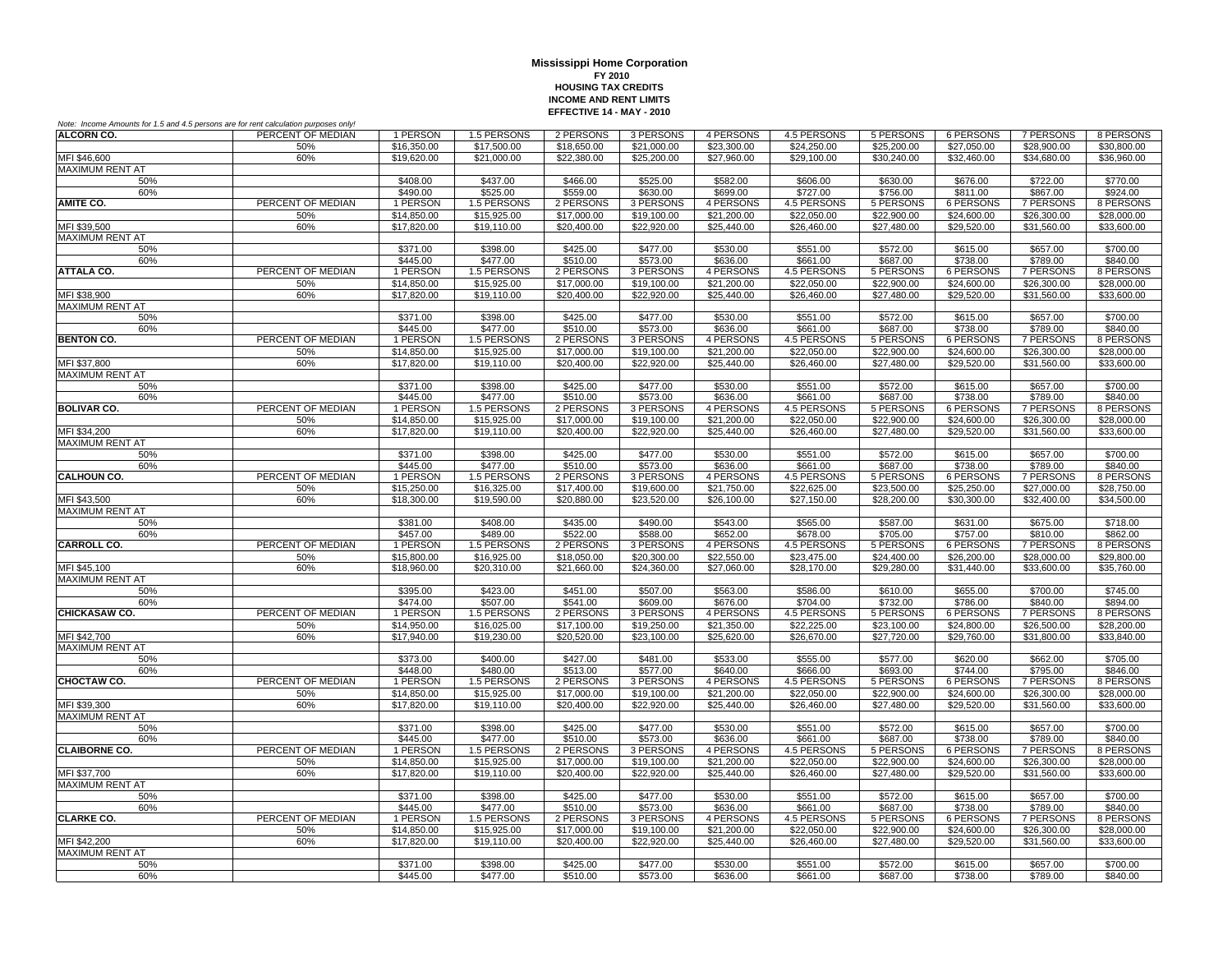| Note: Income Amounts for 1.5 and 4.5 persons are for rent calculation purposes only! |                   |                            |                            |                            |                            |                            |                                |                              |                              |                              |                            |
|--------------------------------------------------------------------------------------|-------------------|----------------------------|----------------------------|----------------------------|----------------------------|----------------------------|--------------------------------|------------------------------|------------------------------|------------------------------|----------------------------|
| <b>ALCORN CO.</b>                                                                    | PERCENT OF MEDIAN | 1 PERSON                   | 1.5 PERSONS                | 2 PERSONS                  | 3 PERSONS                  | 4 PERSONS                  | 4.5 PERSONS                    | 5 PERSONS                    | 6 PERSONS                    | 7 PERSONS                    | 8 PERSONS                  |
|                                                                                      | 50%               | \$16,350.00                | \$17,500.00                | \$18,650.00                | \$21.000.00                | \$23,300.00                | \$24,250.00                    | \$25,200.00                  | \$27,050.00                  | \$28,900.00                  | \$30,800,00                |
| MFI \$46,600                                                                         | 60%               | \$19,620.00                | \$21,000.00                | \$22,380.00                | \$25,200.00                | \$27,960.00                | \$29,100.00                    | \$30,240.00                  | \$32,460.00                  | \$34,680.00                  | \$36,960.00                |
| <b>MAXIMUM RENT AT</b>                                                               |                   |                            |                            |                            |                            |                            |                                |                              |                              |                              |                            |
| 50%                                                                                  |                   | \$408.00                   | \$437.00                   | \$466.00                   | \$525.00                   | \$582.00                   | \$606.00                       | \$630.00                     | \$676.00                     | \$722.00                     | \$770.00                   |
| 60%<br><b>AMITE CO.</b>                                                              | PERCENT OF MEDIAN | \$490.00                   | \$525.00                   | \$559.00                   | \$630.00                   | \$699.00                   | \$727.00                       | \$756.00                     | \$811.00                     | \$867.00                     | \$924.00                   |
|                                                                                      |                   | 1 PERSON                   | 1.5 PERSONS                | 2 PERSONS                  | 3 PERSONS                  | 4 PERSONS                  | 4.5 PERSONS                    | 5 PERSONS<br>\$22,900.00     | 6 PERSONS                    | 7 PERSONS                    | 8 PERSONS                  |
| MFI \$39,500                                                                         | 50%<br>60%        | \$14,850.00<br>\$17,820.00 | \$15,925.00<br>\$19,110.00 | \$17,000.00<br>\$20,400.00 | \$19,100.00<br>\$22,920.00 | \$21,200.00<br>\$25,440.00 | \$22,050.00<br>\$26,460.00     | \$27,480.00                  | \$24,600.00<br>\$29,520.00   | \$26,300.00<br>\$31,560.00   | \$28,000.00<br>\$33,600.00 |
| <b>MAXIMUM RENT AT</b>                                                               |                   |                            |                            |                            |                            |                            |                                |                              |                              |                              |                            |
| 50%                                                                                  |                   | \$371.00                   | \$398.00                   | \$425.00                   | \$477.00                   | \$530.00                   | \$551.00                       | \$572.00                     | \$615.00                     | \$657.00                     | \$700.00                   |
| 60%                                                                                  |                   | \$445.00                   | \$477.00                   | \$510.00                   | \$573.00                   | \$636.00                   | \$661.00                       | \$687.00                     | \$738.00                     | \$789.00                     | \$840.00                   |
| <b>ATTALA CO.</b>                                                                    | PERCENT OF MEDIAN | 1 PERSON                   | 1.5 PERSONS                | 2 PERSONS                  | 3 PERSONS                  | 4 PERSONS                  | 4.5 PERSONS                    | 5 PERSONS                    | <b>6 PERSONS</b>             | <b>7 PERSONS</b>             | 8 PERSONS                  |
|                                                                                      | 50%               | \$14,850.00                | \$15,925.00                | \$17,000.00                | \$19,100.00                | \$21,200.00                | \$22,050.00                    | \$22,900.00                  | \$24,600.00                  | \$26,300.00                  | \$28,000.00                |
| MFI \$38,900                                                                         | 60%               | \$17,820.00                | \$19,110.00                | \$20,400.00                | \$22,920.00                | \$25,440.00                | \$26,460.00                    | \$27,480.00                  | \$29,520.00                  | \$31,560.00                  | \$33,600.00                |
| MAXIMUM RENT AT                                                                      |                   |                            |                            |                            |                            |                            |                                |                              |                              |                              |                            |
| 50%                                                                                  |                   | \$371.00                   | \$398.00                   | \$425.00                   | \$477.00                   | \$530.00                   | \$551.00                       | \$572.00                     | \$615.00                     | \$657.00                     | \$700.00                   |
| 60%                                                                                  |                   | \$445.00                   | \$477.00                   | \$510.00                   | \$573.00                   | \$636.00                   | \$661.00                       | \$687.00                     | \$738.00                     | \$789.00                     | \$840.00                   |
| <b>BENTON CO.</b>                                                                    | PERCENT OF MEDIAN | 1 PERSON                   | 1.5 PERSONS                | 2 PERSONS                  | 3 PERSONS                  | 4 PERSONS                  | 4.5 PERSONS                    | 5 PERSONS                    | 6 PERSONS                    | 7 PERSONS                    | 8 PERSONS                  |
|                                                                                      | 50%               | \$14,850,00                | \$15,925.00                | \$17,000.00                | \$19,100.00                | \$21,200.00                | \$22,050.00                    | \$22,900.00                  | \$24,600.00                  | \$26,300.00                  | \$28,000.00                |
| MFI \$37,800                                                                         | 60%               | \$17,820.00                | \$19,110.00                | \$20,400.00                | \$22,920.00                | \$25,440.00                | \$26,460.00                    | \$27,480.00                  | \$29,520.00                  | \$31,560.00                  | \$33,600.00                |
| <b>MAXIMUM RENT AT</b>                                                               |                   |                            |                            |                            |                            |                            |                                |                              |                              |                              |                            |
| 50%<br>60%                                                                           |                   | \$371.00<br>\$445.00       | \$398.00<br>\$477.00       | \$425.00<br>\$510.00       | \$477.00<br>\$573.00       | \$530.00<br>\$636.00       | \$551.00<br>\$661.00           | \$572.00<br>\$687.00         | \$615.00<br>\$738.00         | \$657.00<br>\$789.00         | \$700.00<br>\$840.00       |
| <b>BOLIVAR CO.</b>                                                                   | PERCENT OF MEDIAN | 1 PERSON                   | 1.5 PERSONS                | 2 PERSONS                  | 3 PERSONS                  | 4 PERSONS                  | 4.5 PERSONS                    | 5 PERSONS                    | 6 PERSONS                    | 7 PERSONS                    | 8 PERSONS                  |
|                                                                                      | 50%               | \$14,850.00                | \$15,925.00                | \$17,000.00                | \$19,100.00                | \$21,200.00                | \$22,050.00                    | \$22,900.00                  | \$24,600.00                  | \$26,300.00                  | \$28,000.00                |
| MFI \$34,200                                                                         | 60%               | \$17,820.00                | \$19,110.00                | \$20,400.00                | \$22,920.00                | \$25,440.00                | \$26,460.00                    | \$27,480.00                  | \$29,520.00                  | \$31,560.00                  | \$33,600.00                |
| MAXIMUM RENT AT                                                                      |                   |                            |                            |                            |                            |                            |                                |                              |                              |                              |                            |
| 50%                                                                                  |                   | \$371.00                   | \$398.00                   | \$425.00                   | \$477.00                   | \$530.00                   | \$551.00                       | \$572.00                     | \$615.00                     | \$657.00                     | \$700.00                   |
| 60%                                                                                  |                   | \$445.00                   | \$477.00                   | \$510.00                   | \$573.00                   | \$636.00                   | \$661.00                       | \$687.00                     | \$738.00                     | \$789.00                     | \$840.00                   |
| <b>CALHOUN CO.</b>                                                                   | PERCENT OF MEDIAN | 1 PERSON                   | 1.5 PERSONS                | 2 PERSONS                  | 3 PERSONS                  | 4 PERSONS                  | 4.5 PERSONS                    | 5 PERSONS                    | 6 PERSONS                    | <b>7 PERSONS</b>             | 8 PERSONS                  |
|                                                                                      | 50%               | \$15,250.00                | \$16,325.00                | \$17,400.00                | \$19,600.00                | \$21,750.00                | \$22,625.00                    | \$23,500.00                  | \$25,250.00                  | \$27,000.00                  | \$28,750.00                |
| MFI \$43,500                                                                         | 60%               | \$18,300.00                | \$19,590.00                | \$20,880.00                | \$23,520.00                | \$26,100.00                | \$27,150.00                    | \$28,200.00                  | \$30,300.00                  | \$32,400.00                  | \$34,500.00                |
| <b>MAXIMUM RENT AT</b>                                                               |                   |                            |                            |                            |                            |                            |                                |                              |                              |                              |                            |
| 50%                                                                                  |                   | \$381.00                   | \$408.00                   | \$435.00                   | \$490.00                   | \$543.00                   | \$565.00                       | \$587.00                     | \$631.00                     | \$675.00                     | \$718.00                   |
| 60%<br><b>CARROLL CO.</b>                                                            | PERCENT OF MEDIAN | \$457.00<br>1 PERSON       | \$489.00<br>1.5 PERSONS    | \$522.00<br>2 PERSONS      | \$588.00<br>3 PERSONS      | \$652.00<br>4 PERSONS      | \$678.00<br><b>4.5 PERSONS</b> | \$705.00<br><b>5 PERSONS</b> | \$757.00<br><b>6 PERSONS</b> | \$810.00<br><b>7 PERSONS</b> | \$862.00<br>8 PERSONS      |
|                                                                                      | 50%               | \$15,800.00                | \$16,925.00                | \$18,050.00                | \$20,300.00                | \$22,550.00                | \$23,475.00                    | \$24,400.00                  | \$26,200.00                  | \$28,000.00                  | \$29,800.00                |
| MFI \$45,100                                                                         | 60%               | \$18,960.00                | \$20,310.00                | \$21,660.00                | \$24,360.00                | \$27,060.00                | \$28,170.00                    | \$29,280.00                  | \$31.440.00                  | \$33,600.00                  | \$35,760.00                |
| <b>MAXIMUM RENT AT</b>                                                               |                   |                            |                            |                            |                            |                            |                                |                              |                              |                              |                            |
| 50%                                                                                  |                   | \$395.00                   | \$423.00                   | \$451.00                   | \$507.00                   | \$563.00                   | \$586.00                       | \$610.00                     | \$655.00                     | \$700.00                     | \$745.00                   |
| 60%                                                                                  |                   | \$474.00                   | \$507.00                   | \$541.00                   | \$609.00                   | \$676.00                   | \$704.00                       | \$732.00                     | \$786.00                     | \$840.00                     | \$894.00                   |
| CHICKASAW CO.                                                                        | PERCENT OF MEDIAN | 1 PERSON                   | 1.5 PERSONS                | 2 PERSONS                  | 3 PERSONS                  | 4 PERSONS                  | 4.5 PERSONS                    | 5 PERSONS                    | 6 PERSONS                    | 7 PERSONS                    | 8 PERSONS                  |
|                                                                                      | 50%               | \$14,950.00                | \$16,025.00                | \$17,100.00                | \$19,250.00                | \$21,350.00                | \$22,225.00                    | \$23,100.00                  | \$24,800.00                  | \$26,500.00                  | \$28,200.00                |
| MFI \$42,700                                                                         | 60%               | \$17,940.00                | \$19,230.00                | \$20,520.00                | \$23,100.00                | \$25,620.00                | \$26,670.00                    | \$27,720.00                  | \$29,760.00                  | \$31,800.00                  | \$33,840.00                |
| <b>MAXIMUM RENT AT</b>                                                               |                   |                            |                            |                            |                            |                            |                                |                              |                              |                              |                            |
| 50%                                                                                  |                   | \$373.00                   | \$400.00                   | \$427.00                   | \$481.00                   | \$533.00                   | \$555.00                       | \$577.00                     | \$620.00                     | \$662.00                     | \$705.00                   |
| 60%                                                                                  |                   | \$448.00                   | \$480.00                   | \$513.00                   | \$577.00                   | \$640.00                   | \$666.00                       | \$693.00                     | \$744.00                     | \$795.00                     | \$846.00                   |
| CHOCTAW CO.                                                                          | PERCENT OF MEDIAN | 1 PERSON                   | 1.5 PERSONS                | 2 PERSONS                  | 3 PERSONS                  | 4 PERSONS                  | 4.5 PERSONS                    | 5 PERSONS                    | 6 PERSONS                    | <b>7 PERSONS</b>             | 8 PERSONS                  |
| MFI \$39,300                                                                         | 50%<br>60%        | \$14,850.00<br>\$17,820.00 | \$15,925.00<br>\$19,110.00 | \$17,000.00<br>\$20,400.00 | \$19,100.00<br>\$22,920.00 | \$21,200.00<br>\$25,440.00 | \$22,050.00<br>\$26,460.00     | \$22,900.00<br>\$27,480.00   | \$24,600.00<br>\$29,520.00   | \$26,300.00<br>\$31,560.00   | \$28,000.00<br>\$33,600.00 |
| <b>MAXIMUM RENT AT</b>                                                               |                   |                            |                            |                            |                            |                            |                                |                              |                              |                              |                            |
| 50%                                                                                  |                   | \$371.00                   | \$398.00                   | \$425.00                   | \$477.00                   | \$530.00                   | \$551.00                       | \$572.00                     | \$615.00                     | \$657.00                     | \$700.00                   |
| 60%                                                                                  |                   | \$445.00                   | \$477.00                   | \$510.00                   | \$573.00                   | \$636.00                   | \$661.00                       | \$687.00                     | \$738.00                     | \$789.00                     | \$840.00                   |
| <b>CLAIBORNE CO.</b>                                                                 | PERCENT OF MEDIAN | 1 PERSON                   | 1.5 PERSONS                | 2 PERSONS                  | 3 PERSONS                  | 4 PERSONS                  | 4.5 PERSONS                    | 5 PERSONS                    | <b>6 PERSONS</b>             | <b>7 PERSONS</b>             | 8 PERSONS                  |
|                                                                                      | 50%               | \$14,850.00                | \$15,925.00                | \$17,000.00                | \$19,100.00                | \$21,200.00                | \$22,050.00                    | \$22,900.00                  | \$24,600.00                  | \$26,300.00                  | \$28,000.00                |
| MFI \$37.700                                                                         | 60%               | \$17,820.00                | \$19,110.00                | \$20,400.00                | \$22,920.00                | \$25,440.00                | \$26,460.00                    | \$27.480.00                  | \$29,520.00                  | \$31,560.00                  | \$33,600.00                |
| <b>MAXIMUM RENT AT</b>                                                               |                   |                            |                            |                            |                            |                            |                                |                              |                              |                              |                            |
| 50%                                                                                  |                   | \$371.00                   | \$398.00                   | \$425.00                   | \$477.00                   | \$530.00                   | \$551.00                       | \$572.00                     | \$615.00                     | \$657.00                     | \$700.00                   |
| 60%                                                                                  |                   | \$445.00                   | \$477.00                   | \$510.00                   | \$573.00                   | \$636.00                   | \$661.00                       | \$687.00                     | \$738.00                     | \$789.00                     | \$840.00                   |
| <b>CLARKE CO.</b>                                                                    | PERCENT OF MEDIAN | 1 PERSON                   | 1.5 PERSONS                | 2 PERSONS                  | 3 PERSONS                  | 4 PERSONS                  | 4.5 PERSONS                    | 5 PERSONS                    | 6 PERSONS                    | <b>7 PERSONS</b>             | 8 PERSONS                  |
|                                                                                      | 50%               | \$14,850.00                | \$15,925.00                | \$17,000.00                | \$19,100.00                | \$21,200.00                | \$22,050.00                    | \$22,900.00                  | \$24,600.00                  | \$26,300.00                  | \$28,000.00                |
| MFI \$42,200                                                                         | 60%               | \$17,820.00                | \$19,110.00                | \$20,400.00                | \$22,920.00                | \$25,440.00                | \$26,460.00                    | \$27,480.00                  | \$29,520.00                  | \$31,560.00                  | \$33,600.00                |
| <b>MAXIMUM RENT AT</b>                                                               |                   |                            |                            |                            |                            |                            |                                |                              |                              |                              |                            |
| 50%                                                                                  |                   | \$371.00                   | \$398.00                   | \$425.00                   | \$477.00                   | \$530.00                   | \$551.00                       | \$572.00                     | \$615.00                     | \$657.00                     | \$700.00                   |
| 60%                                                                                  |                   | \$445.00                   | \$477.00                   | \$510.00                   | \$573.00                   | \$636.00                   | \$661.00                       | \$687.00                     | \$738.00                     | \$789.00                     | \$840.00                   |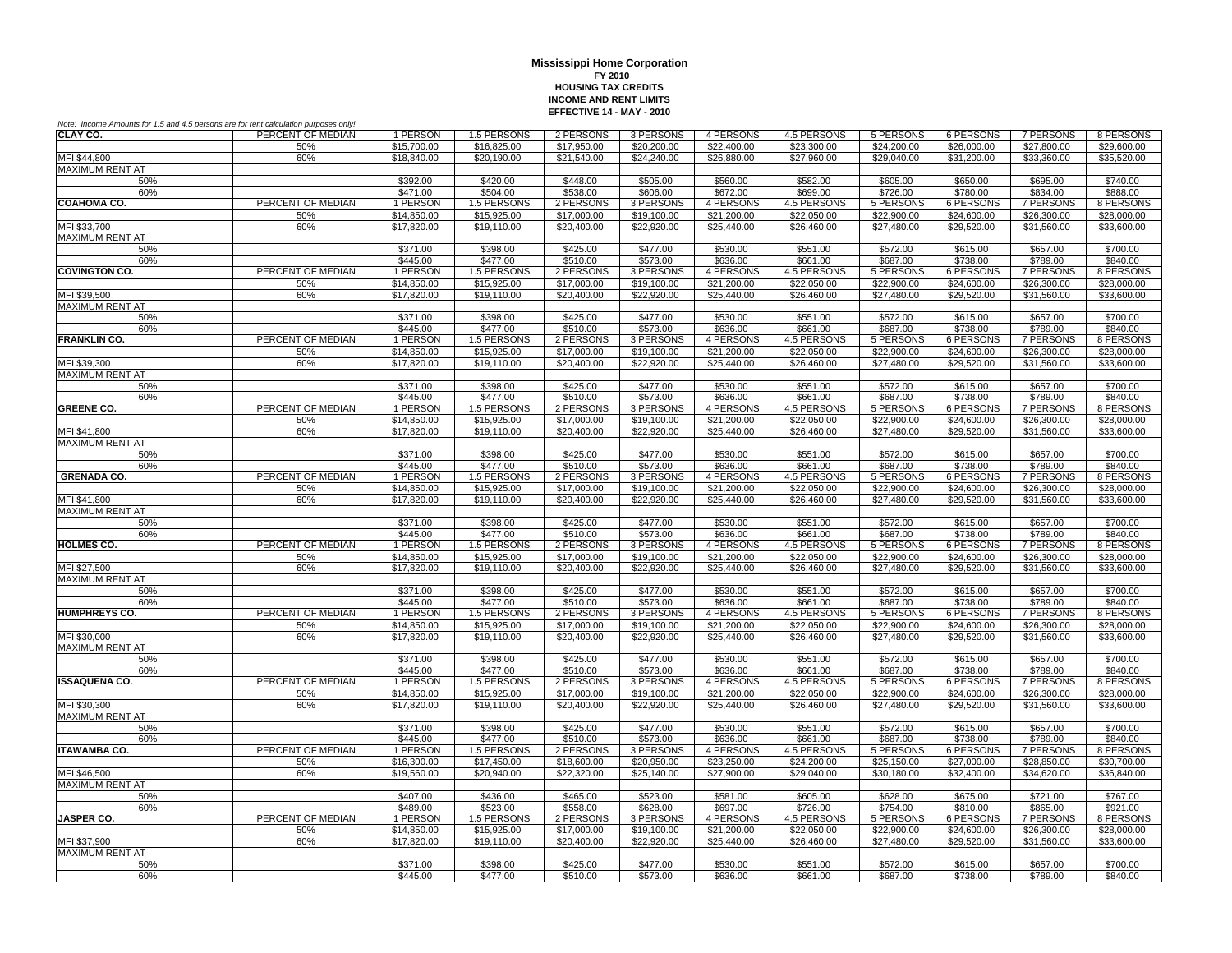| Note: Income Amounts for 1.5 and 4.5 persons are for rent calculation purposes only! |                   |                            |                            |                            |                            |                            |                            |                          |                            |                            |                            |
|--------------------------------------------------------------------------------------|-------------------|----------------------------|----------------------------|----------------------------|----------------------------|----------------------------|----------------------------|--------------------------|----------------------------|----------------------------|----------------------------|
| CLAY CO.                                                                             | PERCENT OF MEDIAN | 1 PERSON                   | 1.5 PERSONS                | 2 PERSONS                  | 3 PERSONS                  | 4 PERSONS                  | 4.5 PERSONS                | 5 PERSONS                | 6 PERSONS                  | 7 PERSONS                  | 8 PERSONS                  |
|                                                                                      | 50%               | \$15,700.00                | \$16,825.00                | \$17,950.00                | \$20,200.00                | \$22,400.00                | \$23,300.00                | \$24,200.00              | \$26,000.00                | \$27,800.00                | \$29,600.00                |
| MFI \$44,800                                                                         | 60%               | \$18,840.00                | \$20,190.00                | \$21,540.00                | \$24,240.00                | \$26,880.00                | \$27,960.00                | \$29,040.00              | \$31,200.00                | \$33,360.00                | \$35,520.00                |
| MAXIMUM RENT AT                                                                      |                   |                            |                            |                            |                            |                            |                            |                          |                            |                            |                            |
| 50%                                                                                  |                   | \$392.00                   | \$420.00                   | \$448.00                   | \$505.00                   | \$560.00                   | \$582.00                   | \$605.00                 | \$650.00                   | \$695.00                   | \$740.00                   |
| 60%                                                                                  | PERCENT OF MEDIAN | \$471.00                   | \$504.00                   | \$538.00                   | \$606.00                   | \$672.00                   | \$699.00                   | \$726.00                 | \$780.00                   | \$834.00                   | \$888.00                   |
| <b>COAHOMA CO.</b>                                                                   |                   | 1 PERSON                   | 1.5 PERSONS                | 2 PERSONS                  | 3 PERSONS                  | 4 PERSONS                  | 4.5 PERSONS                | 5 PERSONS<br>\$22,900.00 | 6 PERSONS                  | 7 PERSONS                  | 8 PERSONS                  |
| MFI \$33,700                                                                         | 50%<br>60%        | \$14,850.00<br>\$17,820.00 | \$15,925.00<br>\$19,110.00 | \$17,000.00<br>\$20,400.00 | \$19,100.00<br>\$22,920.00 | \$21,200.00<br>\$25,440.00 | \$22,050.00<br>\$26,460.00 | \$27,480.00              | \$24,600.00<br>\$29,520.00 | \$26,300.00<br>\$31,560.00 | \$28,000.00<br>\$33,600.00 |
| <b>MAXIMUM RENT AT</b>                                                               |                   |                            |                            |                            |                            |                            |                            |                          |                            |                            |                            |
| 50%                                                                                  |                   | \$371.00                   | \$398.00                   | \$425.00                   | \$477.00                   | \$530.00                   | \$551.00                   | \$572.00                 | \$615.00                   | \$657.00                   | \$700.00                   |
| 60%                                                                                  |                   | \$445.00                   | \$477.00                   | \$510.00                   | \$573.00                   | \$636.00                   | \$661.00                   | \$687.00                 | \$738.00                   | \$789.00                   | \$840.00                   |
| <b>COVINGTON CO.</b>                                                                 | PERCENT OF MEDIAN | 1 PERSON                   | 1.5 PERSONS                | 2 PERSONS                  | 3 PERSONS                  | 4 PERSONS                  | 4.5 PERSONS                | 5 PERSONS                | <b>6 PERSONS</b>           | <b>7 PERSONS</b>           | 8 PERSONS                  |
|                                                                                      | 50%               | \$14,850.00                | \$15,925.00                | \$17,000.00                | \$19,100.00                | \$21,200.00                | \$22,050.00                | \$22,900.00              | \$24,600.00                | \$26,300.00                | \$28,000.00                |
| MFI \$39,500                                                                         | 60%               | \$17,820.00                | \$19,110.00                | \$20,400.00                | \$22,920.00                | \$25,440.00                | \$26,460.00                | \$27,480.00              | \$29,520.00                | \$31,560.00                | \$33,600.00                |
| MAXIMUM RENT AT                                                                      |                   |                            |                            |                            |                            |                            |                            |                          |                            |                            |                            |
| 50%                                                                                  |                   | \$371.00                   | \$398.00                   | \$425.00                   | \$477.00                   | \$530.00                   | \$551.00                   | \$572.00                 | \$615.00                   | \$657.00                   | \$700.00                   |
| 60%                                                                                  |                   | \$445.00                   | \$477.00                   | \$510.00                   | \$573.00                   | \$636.00                   | \$661.00                   | \$687.00                 | \$738.00                   | \$789.00                   | \$840.00                   |
| <b>FRANKLIN CO.</b>                                                                  | PERCENT OF MEDIAN | 1 PERSON                   | 1.5 PERSONS                | 2 PERSONS                  | 3 PERSONS                  | 4 PERSONS                  | 4.5 PERSONS                | 5 PERSONS                | 6 PERSONS                  | 7 PERSONS                  | 8 PERSONS                  |
|                                                                                      | 50%               | \$14,850,00                | \$15,925.00                | \$17,000.00                | \$19,100.00                | \$21,200.00                | \$22,050.00                | \$22,900.00              | \$24,600.00                | \$26,300.00                | \$28,000.00                |
| MFI \$39,300                                                                         | 60%               | \$17,820.00                | \$19,110.00                | \$20,400.00                | \$22,920.00                | \$25,440.00                | \$26,460.00                | \$27,480.00              | \$29,520.00                | \$31,560.00                | \$33,600.00                |
| <b>MAXIMUM RENT AT</b>                                                               |                   |                            |                            |                            |                            |                            |                            |                          |                            |                            |                            |
| 50%                                                                                  |                   | \$371.00                   | \$398.00                   | \$425.00                   | \$477.00                   | \$530.00                   | \$551.00                   | \$572.00                 | \$615.00                   | \$657.00                   | \$700.00                   |
| 60%<br><b>GREENE CO.</b>                                                             | PERCENT OF MEDIAN | \$445.00                   | \$477.00                   | \$510.00                   | \$573.00                   | \$636.00                   | \$661.00                   | \$687.00                 | \$738.00                   | \$789.00                   | \$840.00                   |
|                                                                                      | 50%               | 1 PERSON<br>\$14,850.00    | 1.5 PERSONS<br>\$15,925.00 | 2 PERSONS<br>\$17,000.00   | 3 PERSONS<br>\$19,100.00   | 4 PERSONS<br>\$21,200.00   | 4.5 PERSONS<br>\$22,050.00 | 5 PERSONS<br>\$22,900.00 | 6 PERSONS<br>\$24,600.00   | 7 PERSONS<br>\$26,300.00   | 8 PERSONS<br>\$28,000.00   |
| MFI \$41.800                                                                         | 60%               | \$17,820.00                | \$19,110.00                | \$20,400.00                | \$22,920.00                | \$25,440.00                | \$26,460.00                | \$27,480.00              | \$29,520.00                | \$31,560.00                | \$33,600.00                |
| MAXIMUM RENT AT                                                                      |                   |                            |                            |                            |                            |                            |                            |                          |                            |                            |                            |
| 50%                                                                                  |                   | \$371.00                   | \$398.00                   | \$425.00                   | \$477.00                   | \$530.00                   | \$551.00                   | \$572.00                 | \$615.00                   | \$657.00                   | \$700.00                   |
| 60%                                                                                  |                   | \$445.00                   | \$477.00                   | \$510.00                   | \$573.00                   | \$636.00                   | \$661.00                   | \$687.00                 | \$738.00                   | \$789.00                   | \$840.00                   |
| <b>GRENADA CO.</b>                                                                   | PERCENT OF MEDIAN | 1 PERSON                   | 1.5 PERSONS                | 2 PERSONS                  | 3 PERSONS                  | 4 PERSONS                  | 4.5 PERSONS                | 5 PERSONS                | 6 PERSONS                  | <b>7 PERSONS</b>           | 8 PERSONS                  |
|                                                                                      | 50%               | \$14,850.00                | \$15,925.00                | \$17,000.00                | \$19,100.00                | \$21,200.00                | \$22,050.00                | \$22,900.00              | \$24,600.00                | \$26,300.00                | \$28,000.00                |
| MFI \$41,800                                                                         | 60%               | \$17,820.00                | \$19,110.00                | \$20,400.00                | \$22,920.00                | \$25,440.00                | \$26,460.00                | \$27,480.00              | \$29,520.00                | \$31,560.00                | \$33,600.00                |
| <b>MAXIMUM RENT AT</b>                                                               |                   |                            |                            |                            |                            |                            |                            |                          |                            |                            |                            |
| 50%                                                                                  |                   | \$371.00                   | \$398.00                   | \$425.00                   | \$477.00                   | \$530.00                   | \$551.00                   | \$572.00                 | \$615.00                   | \$657.00                   | \$700.00                   |
| 60%                                                                                  |                   | \$445.00                   | \$477.00                   | \$510.00                   | \$573.00                   | \$636.00                   | \$661.00                   | \$687.00                 | \$738.00                   | \$789.00                   | \$840.00                   |
| <b>HOLMES CO.</b>                                                                    | PERCENT OF MEDIAN | 1 PERSON                   | 1.5 PERSONS                | 2 PERSONS                  | 3 PERSONS                  | 4 PERSONS                  | <b>4.5 PERSONS</b>         | <b>5 PERSONS</b>         | <b>6 PERSONS</b>           | <b>7 PERSONS</b>           | 8 PERSONS                  |
|                                                                                      | 50%               | \$14,850.00                | \$15,925.00                | \$17,000.00                | \$19,100.00                | \$21,200.00                | \$22,050.00                | \$22,900.00              | \$24,600.00                | \$26,300.00                | \$28,000.00                |
| MFI \$27,500                                                                         | 60%               | \$17,820.00                | \$19,110.00                | \$20,400.00                | \$22,920.00                | \$25,440.00                | \$26,460.00                | \$27,480.00              | \$29.520.00                | \$31,560.00                | \$33,600.00                |
| <b>MAXIMUM RENT AT</b>                                                               |                   |                            |                            |                            |                            |                            |                            |                          |                            |                            |                            |
| 50%<br>60%                                                                           |                   | \$371.00<br>\$445.00       | \$398.00<br>\$477.00       | \$425.00<br>\$510.00       | \$477.00<br>\$573.00       | \$530.00<br>\$636.00       | \$551.00<br>\$661.00       | \$572.00<br>\$687.00     | \$615.00<br>\$738.00       | \$657.00<br>\$789.00       | \$700.00<br>\$840.00       |
| <b>HUMPHREYS CO.</b>                                                                 | PERCENT OF MEDIAN | 1 PERSON                   | 1.5 PERSONS                | 2 PERSONS                  | 3 PERSONS                  | 4 PERSONS                  | 4.5 PERSONS                | 5 PERSONS                | 6 PERSONS                  | 7 PERSONS                  | 8 PERSONS                  |
|                                                                                      | 50%               | \$14,850.00                | \$15,925.00                | \$17,000.00                | \$19,100.00                | \$21,200.00                | \$22,050.00                | \$22,900.00              | \$24,600.00                | \$26,300.00                | \$28,000.00                |
| MFI \$30,000                                                                         | 60%               | \$17,820.00                | \$19,110.00                | \$20,400.00                | \$22,920.00                | \$25,440.00                | \$26,460.00                | \$27,480.00              | \$29,520.00                | \$31,560.00                | \$33,600.00                |
| <b>MAXIMUM RENT AT</b>                                                               |                   |                            |                            |                            |                            |                            |                            |                          |                            |                            |                            |
| 50%                                                                                  |                   | \$371.00                   | \$398.00                   | \$425.00                   | \$477.00                   | \$530.00                   | \$551.00                   | \$572.00                 | \$615.00                   | \$657.00                   | \$700.00                   |
| 60%                                                                                  |                   | \$445.00                   | \$477.00                   | \$510.00                   | \$573.00                   | \$636.00                   | \$661.00                   | \$687.00                 | \$738.00                   | \$789.00                   | \$840.00                   |
| <b>ISSAQUENA CO.</b>                                                                 | PERCENT OF MEDIAN | 1 PERSON                   | 1.5 PERSONS                | 2 PERSONS                  | 3 PERSONS                  | 4 PERSONS                  | 4.5 PERSONS                | 5 PERSONS                | 6 PERSONS                  | <b>7 PERSONS</b>           | 8 PERSONS                  |
|                                                                                      | 50%               | \$14,850.00                | \$15,925.00                | \$17,000.00                | \$19,100.00                | \$21,200.00                | \$22,050.00                | \$22,900.00              | \$24,600.00                | \$26,300.00                | \$28,000.00                |
| MFI \$30,300                                                                         | 60%               | \$17,820.00                | \$19,110.00                | \$20,400.00                | \$22,920.00                | \$25,440.00                | \$26,460.00                | \$27,480.00              | \$29,520.00                | \$31,560.00                | \$33,600.00                |
| <b>MAXIMUM RENT AT</b>                                                               |                   |                            |                            |                            |                            |                            |                            |                          |                            |                            |                            |
| 50%                                                                                  |                   | \$371.00                   | \$398.00                   | \$425.00                   | \$477.00                   | \$530.00                   | \$551.00                   | \$572.00                 | \$615.00                   | \$657.00                   | \$700.00                   |
| 60%                                                                                  |                   | \$445.00                   | \$477.00                   | \$510.00                   | \$573.00                   | \$636.00                   | \$661.00                   | \$687.00                 | \$738.00                   | \$789.00                   | \$840.00                   |
| <b>ITAWAMBA CO.</b>                                                                  | PERCENT OF MEDIAN | 1 PERSON                   | 1.5 PERSONS                | 2 PERSONS                  | 3 PERSONS                  | 4 PERSONS                  | 4.5 PERSONS                | 5 PERSONS                | <b>6 PERSONS</b>           | 7 PERSONS                  | 8 PERSONS                  |
|                                                                                      | 50%               | \$16,300.00                | \$17,450.00                | \$18,600.00                | \$20,950.00                | \$23,250.00                | \$24,200.00                | \$25,150.00              | \$27,000.00                | \$28,850.00                | \$30,700.00                |
| MFI \$46,500<br><b>MAXIMUM RENT AT</b>                                               | 60%               | \$19,560.00                | \$20,940.00                | \$22,320.00                | \$25.140.00                | \$27,900.00                | \$29,040.00                | \$30.180.00              | \$32,400.00                | \$34,620.00                | \$36,840.00                |
| 50%                                                                                  |                   | \$407.00                   | \$436.00                   | \$465.00                   | \$523.00                   | \$581.00                   | \$605.00                   | \$628.00                 | \$675.00                   | \$721.00                   | \$767.00                   |
| 60%                                                                                  |                   | \$489.00                   | \$523.00                   | \$558.00                   | \$628.00                   | \$697.00                   | \$726.00                   | \$754.00                 | \$810.00                   | \$865.00                   | \$921.00                   |
| <b>JASPER CO.</b>                                                                    | PERCENT OF MEDIAN | 1 PERSON                   | 1.5 PERSONS                | 2 PERSONS                  | 3 PERSONS                  | 4 PERSONS                  | 4.5 PERSONS                | 5 PERSONS                | 6 PERSONS                  | <b>7 PERSONS</b>           | 8 PERSONS                  |
|                                                                                      | 50%               | \$14,850.00                | \$15,925.00                | \$17,000.00                | \$19,100.00                | \$21,200.00                | \$22,050.00                | \$22,900.00              | \$24,600.00                | \$26,300.00                | \$28,000.00                |
| MFI \$37,900                                                                         | 60%               | \$17,820.00                | \$19,110.00                | \$20,400.00                | \$22,920.00                | \$25,440.00                | \$26,460.00                | \$27,480.00              | \$29,520.00                | \$31,560.00                | \$33,600.00                |
| <b>MAXIMUM RENT AT</b>                                                               |                   |                            |                            |                            |                            |                            |                            |                          |                            |                            |                            |
| 50%                                                                                  |                   | \$371.00                   | \$398.00                   | \$425.00                   | \$477.00                   | \$530.00                   | \$551.00                   | \$572.00                 | \$615.00                   | \$657.00                   | \$700.00                   |
| 60%                                                                                  |                   | \$445.00                   | \$477.00                   | \$510.00                   | \$573.00                   | \$636.00                   | \$661.00                   | \$687.00                 | \$738.00                   | \$789.00                   | \$840.00                   |
|                                                                                      |                   |                            |                            |                            |                            |                            |                            |                          |                            |                            |                            |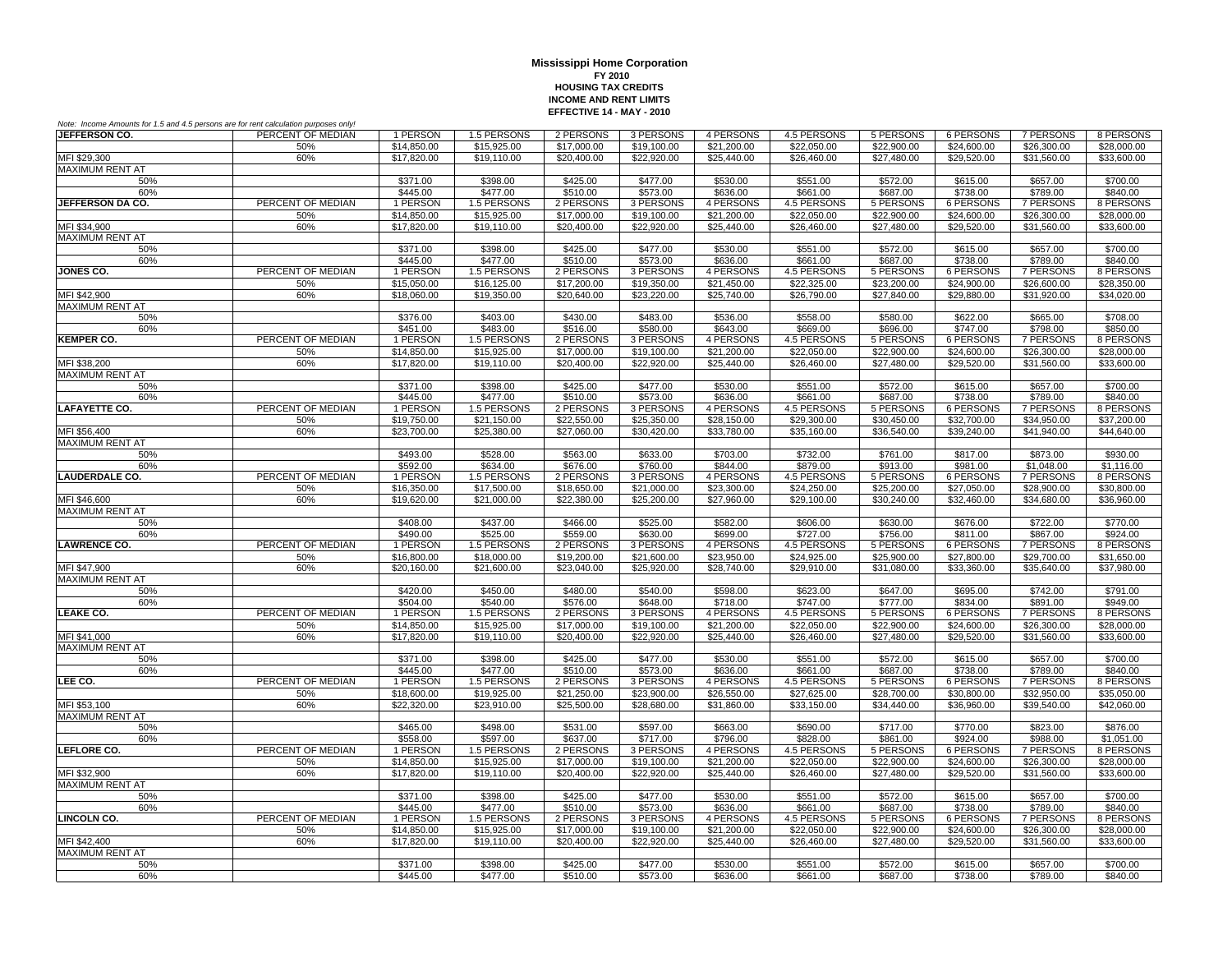| Note: Income Amounts for 1.5 and 4.5 persons are for rent calculation purposes only! |                   |                            |                            |                            |                            |                            |                            |                            |                                 |                            |                            |
|--------------------------------------------------------------------------------------|-------------------|----------------------------|----------------------------|----------------------------|----------------------------|----------------------------|----------------------------|----------------------------|---------------------------------|----------------------------|----------------------------|
| JEFFERSON CO.                                                                        | PERCENT OF MEDIAN | 1 PERSON                   | 1.5 PERSONS                | 2 PERSONS                  | 3 PERSONS                  | 4 PERSONS                  | 4.5 PERSONS                | 5 PERSONS                  | 6 PERSONS                       | 7 PERSONS                  | 8 PERSONS                  |
|                                                                                      | 50%               | \$14,850.00                | \$15,925.00                | \$17,000.00                | \$19,100.00                | \$21,200.00                | \$22,050.00                | \$22,900.00                | \$24,600.00                     | \$26,300.00                | \$28,000.00                |
| MFI \$29,300                                                                         | 60%               | \$17,820.00                | \$19,110.00                | \$20,400.00                | \$22,920.00                | \$25,440.00                | \$26,460.00                | \$27,480.00                | \$29,520.00                     | \$31,560.00                | \$33,600.00                |
| <b>MAXIMUM RENT AT</b>                                                               |                   |                            |                            |                            |                            |                            |                            |                            |                                 |                            |                            |
| 50%                                                                                  |                   | \$371.00                   | \$398.00                   | \$425.00                   | \$477.00                   | \$530.00                   | \$551.00                   | \$572.00                   | \$615.00                        | \$657.00                   | \$700.00                   |
| 60%                                                                                  |                   | \$445.00                   | \$477.00                   | \$510.00                   | \$573.00                   | \$636.00                   | \$661.00                   | \$687.00                   | \$738.00                        | \$789.00                   | \$840.00                   |
| JEFFERSON DA CO.                                                                     | PERCENT OF MEDIAN | 1 PERSON                   | 1.5 PERSONS                | 2 PERSONS                  | 3 PERSONS                  | 4 PERSONS                  | 4.5 PERSONS                | 5 PERSONS<br>\$22,900.00   | 6 PERSONS                       | 7 PERSONS                  | 8 PERSONS                  |
| MFI \$34,900                                                                         | 50%<br>60%        | \$14,850.00<br>\$17,820.00 | \$15,925.00<br>\$19,110.00 | \$17,000.00<br>\$20,400.00 | \$19,100.00<br>\$22,920.00 | \$21,200.00<br>\$25,440.00 | \$22,050.00<br>\$26,460.00 | \$27,480.00                | \$24,600.00<br>\$29,520.00      | \$26,300.00<br>\$31,560.00 | \$28,000.00<br>\$33,600.00 |
| <b>MAXIMUM RENT AT</b>                                                               |                   |                            |                            |                            |                            |                            |                            |                            |                                 |                            |                            |
| 50%                                                                                  |                   | \$371.00                   | \$398.00                   | \$425.00                   | \$477.00                   | \$530.00                   | \$551.00                   | \$572.00                   | \$615.00                        | \$657.00                   | \$700.00                   |
| 60%                                                                                  |                   | \$445.00                   | \$477.00                   | \$510.00                   | \$573.00                   | \$636.00                   | \$661.00                   | \$687.00                   | \$738.00                        | \$789.00                   | \$840.00                   |
| <b>JONES CO.</b>                                                                     | PERCENT OF MEDIAN | 1 PERSON                   | 1.5 PERSONS                | 2 PERSONS                  | 3 PERSONS                  | 4 PERSONS                  | 4.5 PERSONS                | 5 PERSONS                  | <b>6 PERSONS</b>                | <b>7 PERSONS</b>           | 8 PERSONS                  |
|                                                                                      | 50%               | \$15,050.00                | \$16,125.00                | \$17,200.00                | \$19,350.00                | \$21,450.00                | \$22,325.00                | \$23,200.00                | \$24,900.00                     | \$26,600.00                | \$28,350.00                |
| MFI \$42,900                                                                         | 60%               | \$18,060.00                | \$19,350.00                | \$20,640.00                | \$23,220.00                | \$25,740.00                | \$26,790.00                | \$27,840.00                | \$29,880.00                     | \$31,920.00                | \$34,020.00                |
| MAXIMUM RENT AT                                                                      |                   |                            |                            |                            |                            |                            |                            |                            |                                 |                            |                            |
| 50%                                                                                  |                   | \$376.00                   | \$403.00                   | \$430.00                   | \$483.00                   | \$536.00                   | \$558.00                   | \$580.00                   | \$622.00                        | \$665.00                   | \$708.00                   |
| 60%                                                                                  |                   | \$451.00                   | \$483.00                   | \$516.00                   | \$580.00                   | \$643.00                   | \$669.00                   | \$696.00                   | \$747.00                        | \$798.00                   | \$850.00                   |
| <b>KEMPER CO.</b>                                                                    | PERCENT OF MEDIAN | 1 PERSON                   | 1.5 PERSONS                | 2 PERSONS                  | 3 PERSONS                  | 4 PERSONS                  | 4.5 PERSONS                | 5 PERSONS                  | 6 PERSONS                       | 7 PERSONS                  | 8 PERSONS                  |
|                                                                                      | 50%               | \$14,850.00                | \$15,925.00                | \$17,000.00                | \$19,100.00                | \$21,200.00                | \$22,050.00                | \$22,900.00                | \$24,600.00                     | \$26,300.00                | \$28,000.00                |
| MFI \$38,200                                                                         | 60%               | \$17,820.00                | \$19,110.00                | \$20,400.00                | \$22,920.00                | \$25,440.00                | \$26,460.00                | \$27,480.00                | \$29,520.00                     | \$31,560.00                | \$33,600.00                |
| <b>MAXIMUM RENT AT</b>                                                               |                   |                            |                            |                            |                            |                            |                            |                            |                                 |                            | \$700.00                   |
| 50%<br>60%                                                                           |                   | \$371.00<br>\$445.00       | \$398.00<br>\$477.00       | \$425.00<br>\$510.00       | \$477.00<br>\$573.00       | \$530.00<br>\$636.00       | \$551.00<br>\$661.00       | \$572.00<br>\$687.00       | \$615.00<br>\$738.00            | \$657.00<br>\$789.00       | \$840.00                   |
| <b>LAFAYETTE CO.</b>                                                                 | PERCENT OF MEDIAN | 1 PERSON                   | 1.5 PERSONS                | 2 PERSONS                  | 3 PERSONS                  | 4 PERSONS                  | 4.5 PERSONS                | 5 PERSONS                  | 6 PERSONS                       | 7 PERSONS                  | 8 PERSONS                  |
|                                                                                      | 50%               | \$19,750.00                | \$21,150.00                | \$22,550.00                | \$25,350.00                | \$28,150.00                | \$29,300.00                | \$30,450.00                | \$32,700.00                     | \$34,950.00                | \$37,200.00                |
| MFI \$56,400                                                                         | 60%               | \$23,700.00                | \$25,380.00                | \$27,060.00                | \$30,420.00                | \$33,780.00                | \$35,160.00                | \$36,540.00                | \$39,240.00                     | \$41,940.00                | \$44,640.00                |
| <b>MAXIMUM RENT AT</b>                                                               |                   |                            |                            |                            |                            |                            |                            |                            |                                 |                            |                            |
| 50%                                                                                  |                   | \$493.00                   | \$528.00                   | \$563.00                   | \$633.00                   | \$703.00                   | \$732.00                   | \$761.00                   | \$817.00                        | \$873.00                   | \$930.00                   |
| 60%                                                                                  |                   | \$592.00                   | \$634.00                   | \$676.00                   | \$760.00                   | \$844.00                   | \$879.00                   | \$913.00                   | \$981.00                        | \$1,048.00                 | \$1,116.00                 |
| <b>LAUDERDALE CO.</b>                                                                | PERCENT OF MEDIAN | 1 PERSON                   | 1.5 PERSONS                | 2 PERSONS                  | 3 PERSONS                  | 4 PERSONS                  | 4.5 PERSONS                | 5 PERSONS                  | <b>6 PERSONS</b>                | <b>7 PERSONS</b>           | 8 PERSONS                  |
|                                                                                      | 50%               | \$16,350.00                | \$17,500.00                | \$18,650.00                | \$21,000.00                | \$23,300.00                | \$24,250.00                | \$25,200.00                | \$27,050.00                     | \$28,900.00                | \$30,800.00                |
| MFI \$46,600                                                                         | 60%               | \$19,620.00                | \$21,000.00                | \$22,380.00                | \$25,200.00                | \$27,960.00                | \$29,100.00                | \$30,240.00                | \$32,460.00                     | \$34,680.00                | \$36,960.00                |
| <b>MAXIMUM RENT AT</b>                                                               |                   |                            |                            |                            |                            |                            |                            |                            |                                 |                            |                            |
| 50%                                                                                  |                   | \$408.00                   | \$437.00                   | \$466.00                   | \$525.00                   | \$582.00                   | \$606.00                   | \$630.00                   | \$676.00                        | \$722.00                   | \$770.00                   |
| 60%<br><b>LAWRENCE CO.</b>                                                           | PERCENT OF MEDIAN | \$490.00<br>1 PERSON       | \$525.00<br>1.5 PERSONS    | \$559.00<br>2 PERSONS      | \$630.00<br>3 PERSONS      | \$699.00<br>4 PERSONS      | \$727.00<br>4.5 PERSONS    | \$756.00                   | \$811.00<br>6 PERSONS           | \$867.00<br>7 PERSONS      | \$924.00<br>8 PERSONS      |
|                                                                                      | 50%               | \$16,800.00                | \$18,000.00                | \$19,200.00                | \$21,600.00                | \$23,950.00                | \$24,925.00                | 5 PERSONS<br>\$25,900.00   | \$27,800.00                     | \$29,700.00                | \$31,650.00                |
| MFI \$47,900                                                                         | 60%               | \$20,160.00                | \$21,600.00                | \$23,040.00                | \$25,920.00                | \$28,740.00                | \$29,910.00                | \$31,080.00                | \$33,360.00                     | \$35,640.00                | \$37,980.00                |
| <b>MAXIMUM RENT AT</b>                                                               |                   |                            |                            |                            |                            |                            |                            |                            |                                 |                            |                            |
| 50%                                                                                  |                   | \$420.00                   | \$450.00                   | \$480.00                   | \$540.00                   | \$598.00                   | \$623.00                   | \$647.00                   | \$695.00                        | \$742.00                   | \$791.00                   |
| 60%                                                                                  |                   | \$504.00                   | \$540.00                   | \$576.00                   | \$648.00                   | \$718.00                   | \$747.00                   | \$777.00                   | \$834.00                        | \$891.00                   | \$949.00                   |
| <b>LEAKE CO.</b>                                                                     | PERCENT OF MEDIAN | 1 PERSON                   | 1.5 PERSONS                | 2 PERSONS                  | 3 PERSONS                  | 4 PERSONS                  | 4.5 PERSONS                | 5 PERSONS                  | 6 PERSONS                       | 7 PERSONS                  | 8 PERSONS                  |
|                                                                                      | 50%               | \$14,850.00                | \$15,925.00                | \$17,000.00                | \$19,100.00                | \$21,200.00                | \$22,050.00                | \$22,900.00                | \$24,600.00                     | \$26,300.00                | \$28,000.00                |
| MFI \$41,000                                                                         | 60%               | \$17,820.00                | \$19,110.00                | \$20,400.00                | \$22,920.00                | \$25,440.00                | \$26,460.00                | \$27,480.00                | \$29,520.00                     | \$31,560.00                | \$33,600.00                |
| <b>MAXIMUM RENT AT</b>                                                               |                   |                            |                            |                            |                            |                            |                            |                            |                                 |                            |                            |
| 50%                                                                                  |                   | \$371.00                   | \$398.00                   | \$425.00                   | \$477.00                   | \$530.00                   | \$551.00                   | \$572.00                   | \$615.00                        | \$657.00                   | \$700.00                   |
| 60%                                                                                  |                   | \$445.00                   | \$477.00                   | \$510.00                   | \$573.00                   | \$636.00                   | \$661.00                   | \$687.00                   | \$738.00                        | \$789.00                   | \$840.00                   |
| LEE CO.                                                                              | PERCENT OF MEDIAN | 1 PERSON                   | 1.5 PERSONS<br>\$19,925.00 | 2 PERSONS                  | 3 PERSONS                  | 4 PERSONS                  | 4.5 PERSONS                | 5 PERSONS                  | <b>6 PERSONS</b><br>\$30,800.00 | <b>7 PERSONS</b>           | 8 PERSONS                  |
| MFI \$53,100                                                                         | 50%<br>60%        | \$18,600.00<br>\$22,320.00 | \$23,910.00                | \$21,250.00<br>\$25,500.00 | \$23,900.00<br>\$28,680.00 | \$26,550.00<br>\$31,860.00 | \$27,625.00<br>\$33,150.00 | \$28,700.00<br>\$34,440.00 | \$36,960.00                     | \$32,950.00<br>\$39,540.00 | \$35,050.00<br>\$42,060.00 |
| <b>MAXIMUM RENT AT</b>                                                               |                   |                            |                            |                            |                            |                            |                            |                            |                                 |                            |                            |
| 50%                                                                                  |                   | \$465.00                   | \$498.00                   | \$531.00                   | \$597.00                   | \$663.00                   | \$690.00                   | \$717.00                   | \$770.00                        | \$823.00                   | \$876.00                   |
| 60%                                                                                  |                   | \$558.00                   | \$597.00                   | \$637.00                   | \$717.00                   | \$796.00                   | \$828.00                   | \$861.00                   | \$924.00                        | \$988.00                   | \$1,051.00                 |
| LEFLORE CO.                                                                          | PERCENT OF MEDIAN | 1 PERSON                   | 1.5 PERSONS                | 2 PERSONS                  | 3 PERSONS                  | 4 PERSONS                  | <b>4.5 PERSONS</b>         | 5 PERSONS                  | <b>6 PERSONS</b>                | <b>7 PERSONS</b>           | 8 PERSONS                  |
|                                                                                      | 50%               | \$14,850,00                | \$15,925.00                | \$17,000.00                | \$19,100.00                | \$21,200.00                | \$22,050.00                | \$22,900.00                | \$24,600.00                     | \$26,300.00                | \$28,000.00                |
| MFI \$32,900                                                                         | 60%               | \$17,820.00                | \$19,110.00                | \$20,400.00                | \$22,920.00                | \$25,440.00                | \$26,460.00                | \$27,480.00                | \$29,520.00                     | \$31,560.00                | \$33,600.00                |
| <b>MAXIMUM RENT AT</b>                                                               |                   |                            |                            |                            |                            |                            |                            |                            |                                 |                            |                            |
| 50%                                                                                  |                   | \$371.00                   | \$398.00                   | \$425.00                   | \$477.00                   | \$530.00                   | \$551.00                   | \$572.00                   | \$615.00                        | \$657.00                   | \$700.00                   |
| 60%                                                                                  |                   | \$445.00                   | \$477.00                   | \$510.00                   | \$573.00                   | \$636.00                   | \$661.00                   | \$687.00                   | \$738.00                        | \$789.00                   | \$840.00                   |
| <b>LINCOLN CO.</b>                                                                   | PERCENT OF MEDIAN | 1 PERSON                   | 1.5 PERSONS                | 2 PERSONS                  | 3 PERSONS                  | 4 PERSONS                  | 4.5 PERSONS                | 5 PERSONS                  | 6 PERSONS                       | <b>7 PERSONS</b>           | 8 PERSONS                  |
|                                                                                      | 50%               | \$14,850.00                | \$15,925.00                | \$17,000.00                | \$19,100.00                | \$21,200.00                | \$22,050.00                | \$22,900.00                | \$24,600.00                     | \$26,300.00                | \$28,000.00                |
| MFI \$42,400                                                                         | 60%               | \$17,820.00                | \$19,110.00                | \$20,400.00                | \$22,920.00                | \$25,440.00                | \$26,460.00                | \$27,480.00                | \$29,520.00                     | $\overline{$31,560.00}$    | \$33,600.00                |
| <b>MAXIMUM RENT AT</b>                                                               |                   |                            | \$398.00                   | \$425.00                   | \$477.00                   | \$530.00                   |                            |                            | \$615.00                        | \$657.00                   | \$700.00                   |
| 50%<br>60%                                                                           |                   | \$371.00<br>\$445.00       | \$477.00                   | \$510.00                   | \$573.00                   |                            | \$551.00<br>\$661.00       | \$572.00<br>\$687.00       | \$738.00                        | \$789.00                   | \$840.00                   |
|                                                                                      |                   |                            |                            |                            |                            | \$636.00                   |                            |                            |                                 |                            |                            |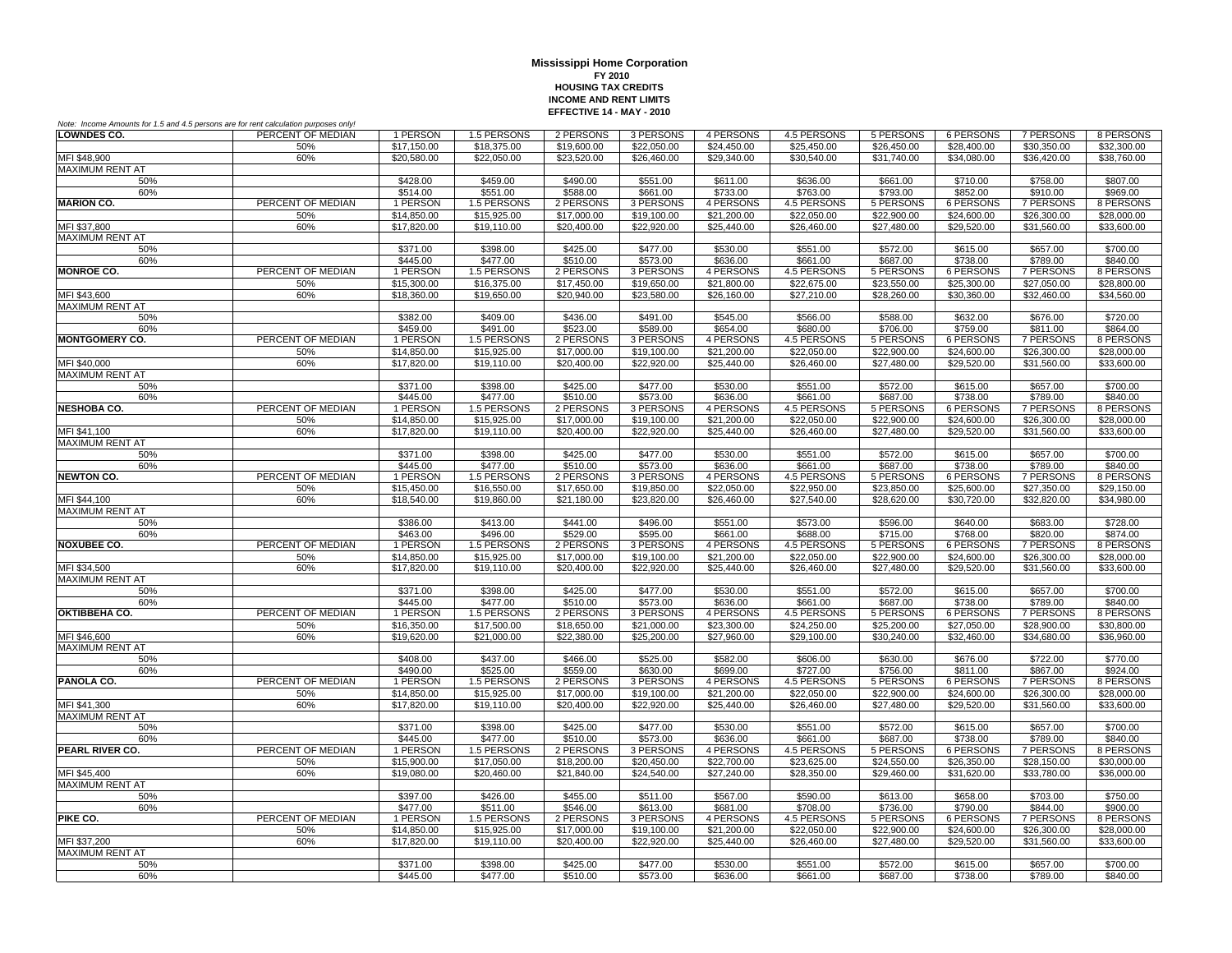| Note: Income Amounts for 1.5 and 4.5 persons are for rent calculation purposes only! |                   |                            |                            |                            |                            |                            |                            |                            |                            |                              |                          |
|--------------------------------------------------------------------------------------|-------------------|----------------------------|----------------------------|----------------------------|----------------------------|----------------------------|----------------------------|----------------------------|----------------------------|------------------------------|--------------------------|
| <b>LOWNDES CO.</b>                                                                   | PERCENT OF MEDIAN | 1 PERSON                   | 1.5 PERSONS                | 2 PERSONS                  | 3 PERSONS                  | 4 PERSONS                  | 4.5 PERSONS                | 5 PERSONS                  | 6 PERSONS                  | 7 PERSONS                    | 8 PERSONS                |
|                                                                                      | 50%               | \$17,150.00                | \$18,375.00                | \$19,600.00                | \$22,050.00                | \$24,450.00                | \$25,450.00                | \$26,450.00                | \$28,400.00                | \$30,350.00                  | \$32,300.00              |
| MFI \$48,900                                                                         | 60%               | \$20,580.00                | \$22,050.00                | \$23,520.00                | \$26,460.00                | \$29,340.00                | \$30,540.00                | \$31,740.00                | \$34,080.00                | \$36,420.00                  | \$38,760.00              |
| <b>MAXIMUM RENT AT</b>                                                               |                   |                            |                            |                            |                            |                            |                            |                            |                            |                              |                          |
| 50%                                                                                  |                   | \$428.00                   | \$459.00                   | \$490.00                   | \$551.00                   | \$611.00                   | \$636.00                   | \$661.00                   | \$710.00                   | \$758.00                     | \$807.00                 |
| 60%<br><b>MARION CO.</b>                                                             | PERCENT OF MEDIAN | \$514.00                   | \$551.00                   | \$588.00<br>2 PERSONS      | \$661.00                   | \$733.00<br>4 PERSONS      | \$763.00<br>4.5 PERSONS    | \$793.00                   | \$852.00<br>6 PERSONS      | \$910.00<br>7 PERSONS        | \$969.00                 |
|                                                                                      | 50%               | 1 PERSON<br>\$14,850.00    | 1.5 PERSONS<br>\$15,925.00 | \$17,000.00                | 3 PERSONS<br>\$19,100.00   | \$21,200.00                | \$22,050.00                | 5 PERSONS<br>\$22,900.00   | \$24,600.00                | \$26,300.00                  | 8 PERSONS<br>\$28,000.00 |
| MFI \$37,800                                                                         | 60%               | \$17,820.00                | \$19,110.00                | \$20,400.00                | \$22,920.00                | \$25,440.00                | \$26,460.00                | \$27,480.00                | \$29,520.00                | \$31,560.00                  | \$33,600.00              |
| <b>MAXIMUM RENT AT</b>                                                               |                   |                            |                            |                            |                            |                            |                            |                            |                            |                              |                          |
| 50%                                                                                  |                   | \$371.00                   | \$398.00                   | \$425.00                   | \$477.00                   | \$530.00                   | \$551.00                   | \$572.00                   | \$615.00                   | \$657.00                     | \$700.00                 |
| 60%                                                                                  |                   | \$445.00                   | \$477.00                   | \$510.00                   | \$573.00                   | \$636.00                   | \$661.00                   | \$687.00                   | \$738.00                   | \$789.00                     | \$840.00                 |
| <b>MONROE CO.</b>                                                                    | PERCENT OF MEDIAN | 1 PERSON                   | 1.5 PERSONS                | 2 PERSONS                  | 3 PERSONS                  | 4 PERSONS                  | 4.5 PERSONS                | 5 PERSONS                  | <b>6 PERSONS</b>           | <b>7 PERSONS</b>             | 8 PERSONS                |
|                                                                                      | 50%               | \$15,300.00                | \$16,375.00                | \$17,450.00                | \$19,650.00                | \$21,800.00                | \$22,675.00                | \$23,550.00                | \$25,300.00                | \$27,050.00                  | \$28,800.00              |
| MFI \$43,600                                                                         | 60%               | \$18,360.00                | \$19,650.00                | \$20,940.00                | \$23,580.00                | \$26,160.00                | \$27,210.00                | \$28,260.00                | \$30,360.00                | \$32,460.00                  | \$34,560.00              |
| MAXIMUM RENT AT                                                                      |                   |                            |                            |                            |                            |                            |                            |                            |                            |                              |                          |
| 50%                                                                                  |                   | \$382.00                   | \$409.00                   | \$436.00                   | \$491.00                   | \$545.00                   | \$566.00                   | \$588.00                   | \$632.00                   | \$676.00                     | \$720.00                 |
| 60%                                                                                  |                   | \$459.00                   | \$491.00                   | \$523.00                   | \$589.00                   | \$654.00                   | \$680.00                   | \$706.00                   | \$759.00                   | \$811.00                     | \$864.00                 |
| <b>MONTGOMERY CO.</b>                                                                | PERCENT OF MEDIAN | 1 PERSON                   | 1.5 PERSONS                | 2 PERSONS                  | 3 PERSONS                  | 4 PERSONS                  | 4.5 PERSONS                | 5 PERSONS                  | 6 PERSONS                  | 7 PERSONS                    | 8 PERSONS                |
|                                                                                      | 50%               | \$14,850.00                | \$15,925.00                | \$17,000.00                | \$19,100.00                | \$21,200.00                | \$22,050.00                | \$22,900.00                | \$24,600.00                | \$26,300.00                  | \$28,000.00              |
| MFI \$40,000                                                                         | 60%               | \$17,820.00                | \$19,110.00                | \$20,400.00                | \$22,920.00                | \$25,440.00                | \$26,460.00                | \$27,480.00                | \$29,520.00                | \$31,560.00                  | \$33,600.00              |
| <b>MAXIMUM RENT AT</b><br>50%                                                        |                   | \$371.00                   | \$398.00                   | \$425.00                   | \$477.00                   |                            | \$551.00                   | \$572.00                   | \$615.00                   | \$657.00                     | \$700.00                 |
| 60%                                                                                  |                   | \$445.00                   | \$477.00                   | \$510.00                   | \$573.00                   | \$530.00<br>\$636.00       | \$661.00                   | \$687.00                   | \$738.00                   | \$789.00                     | \$840.00                 |
| <b>NESHOBA CO.</b>                                                                   | PERCENT OF MEDIAN | 1 PERSON                   | 1.5 PERSONS                | 2 PERSONS                  | 3 PERSONS                  | 4 PERSONS                  | 4.5 PERSONS                | 5 PERSONS                  | 6 PERSONS                  | 7 PERSONS                    | 8 PERSONS                |
|                                                                                      | 50%               | \$14,850.00                | \$15,925.00                | \$17,000.00                | \$19,100.00                | \$21,200.00                | \$22,050.00                | \$22,900.00                | \$24,600.00                | \$26,300.00                  | \$28,000.00              |
| MFI \$41.100                                                                         | 60%               | \$17,820.00                | \$19,110.00                | \$20,400.00                | \$22,920.00                | \$25,440.00                | \$26,460.00                | \$27,480.00                | \$29,520.00                | \$31,560.00                  | \$33,600.00              |
| <b>MAXIMUM RENT AT</b>                                                               |                   |                            |                            |                            |                            |                            |                            |                            |                            |                              |                          |
| 50%                                                                                  |                   | \$371.00                   | \$398.00                   | \$425.00                   | \$477.00                   | \$530.00                   | \$551.00                   | \$572.00                   | \$615.00                   | \$657.00                     | \$700.00                 |
| 60%                                                                                  |                   | \$445.00                   | \$477.00                   | \$510.00                   | \$573.00                   | \$636.00                   | \$661.00                   | \$687.00                   | \$738.00                   | \$789.00                     | \$840.00                 |
| <b>NEWTON CO.</b>                                                                    | PERCENT OF MEDIAN | 1 PERSON                   | 1.5 PERSONS                | 2 PERSONS                  | 3 PERSONS                  | 4 PERSONS                  | 4.5 PERSONS                | 5 PERSONS                  | <b>6 PERSONS</b>           | <b>7 PERSONS</b>             | 8 PERSONS                |
|                                                                                      | 50%               | \$15,450.00                | \$16,550.00                | \$17,650.00                | \$19,850.00                | \$22,050.00                | \$22,950.00                | \$23,850.00                | \$25,600.00                | \$27,350.00                  | \$29,150.00              |
| MFI \$44,100                                                                         | 60%               | \$18,540.00                | \$19,860.00                | \$21,180.00                | \$23,820.00                | \$26,460.00                | \$27,540.00                | \$28,620.00                | \$30,720.00                | \$32,820.00                  | \$34,980.00              |
| <b>MAXIMUM RENT AT</b>                                                               |                   |                            |                            |                            |                            |                            |                            |                            |                            |                              |                          |
| 50%                                                                                  |                   | \$386.00<br>\$463.00       | \$413.00<br>\$496.00       | \$441.00<br>\$529.00       | \$496.00<br>\$595.00       | \$551.00                   | \$573.00<br>\$688.00       | \$596.00                   | \$640.00<br>\$768.00       | \$683.00                     | \$728.00<br>\$874.00     |
| 60%<br><b>NOXUBEE CO.</b>                                                            | PERCENT OF MEDIAN | 1 PERSON                   | 1.5 PERSONS                | 2 PERSONS                  | 3 PERSONS                  | \$661.00<br>4 PERSONS      | <b>4.5 PERSONS</b>         | \$715.00<br>5 PERSONS      | 6 PERSONS                  | \$820.00<br><b>7 PERSONS</b> | 8 PERSONS                |
|                                                                                      | 50%               | \$14,850.00                | \$15,925.00                | \$17,000.00                | \$19,100.00                | \$21,200.00                | \$22,050.00                | \$22,900.00                | \$24,600.00                | \$26,300.00                  | \$28,000.00              |
| MFI \$34,500                                                                         | 60%               | \$17,820.00                | \$19,110.00                | \$20,400.00                | \$22,920.00                | \$25,440.00                | \$26,460.00                | \$27,480.00                | \$29,520.00                | \$31,560.00                  | \$33,600.00              |
| <b>MAXIMUM RENT AT</b>                                                               |                   |                            |                            |                            |                            |                            |                            |                            |                            |                              |                          |
| 50%                                                                                  |                   | \$371.00                   | \$398.00                   | \$425.00                   | \$477.00                   | \$530.00                   | \$551.00                   | \$572.00                   | \$615.00                   | \$657.00                     | \$700.00                 |
| 60%                                                                                  |                   | \$445.00                   | \$477.00                   | \$510.00                   | \$573.00                   | \$636.00                   | \$661.00                   | \$687.00                   | \$738.00                   | \$789.00                     | \$840.00                 |
| OKTIBBEHA CO.                                                                        | PERCENT OF MEDIAN | 1 PERSON                   | 1.5 PERSONS                | 2 PERSONS                  | 3 PERSONS                  | 4 PERSONS                  | 4.5 PERSONS                | 5 PERSONS                  | 6 PERSONS                  | 7 PERSONS                    | 8 PERSONS                |
|                                                                                      | 50%               | \$16,350.00                | \$17,500.00                | \$18,650.00                | \$21,000.00                | \$23,300.00                | \$24,250.00                | \$25,200.00                | \$27,050.00                | \$28,900.00                  | \$30,800.00              |
| MFI \$46,600                                                                         | 60%               | \$19,620.00                | \$21,000.00                | \$22,380.00                | \$25,200.00                | \$27,960.00                | \$29,100.00                | \$30,240.00                | \$32,460.00                | \$34,680.00                  | \$36,960.00              |
| <b>MAXIMUM RENT AT</b>                                                               |                   |                            |                            |                            |                            |                            |                            |                            |                            |                              |                          |
| 50%                                                                                  |                   | \$408.00                   | \$437.00                   | \$466.00                   | \$525.00                   | \$582.00                   | \$606.00                   | \$630.00                   | \$676.00                   | \$722.00                     | \$770.00                 |
| 60%                                                                                  |                   | \$490.00                   | \$525.00                   | \$559.00                   | \$630.00                   | \$699.00                   | \$727.00                   | \$756.00                   | \$811.00                   | \$867.00                     | \$924.00                 |
| PANOLA CO.                                                                           | PERCENT OF MEDIAN | 1 PERSON                   | 1.5 PERSONS                | 2 PERSONS                  | 3 PERSONS                  | 4 PERSONS                  | 4.5 PERSONS                | 5 PERSONS                  | <b>6 PERSONS</b>           | <b>7 PERSONS</b>             | 8 PERSONS<br>\$28,000.00 |
| MFI \$41,300                                                                         | 50%<br>60%        | \$14,850.00<br>\$17,820.00 | \$15,925.00<br>\$19,110.00 | \$17,000.00<br>\$20,400.00 | \$19,100.00<br>\$22,920.00 | \$21,200.00<br>\$25,440.00 | \$22,050.00<br>\$26,460.00 | \$22,900.00<br>\$27,480.00 | \$24,600.00<br>\$29,520.00 | \$26,300.00<br>\$31,560.00   | \$33,600.00              |
| <b>MAXIMUM RENT AT</b>                                                               |                   |                            |                            |                            |                            |                            |                            |                            |                            |                              |                          |
| 50%                                                                                  |                   | \$371.00                   | \$398.00                   | \$425.00                   | \$477.00                   | \$530.00                   | \$551.00                   | \$572.00                   | \$615.00                   | \$657.00                     | \$700.00                 |
| 60%                                                                                  |                   | \$445.00                   | \$477.00                   | \$510.00                   | \$573.00                   | \$636.00                   | \$661.00                   | \$687.00                   | \$738.00                   | \$789.00                     | \$840.00                 |
| PEARL RIVER CO.                                                                      | PERCENT OF MEDIAN | 1 PERSON                   | 1.5 PERSONS                | 2 PERSONS                  | 3 PERSONS                  | 4 PERSONS                  | <b>4.5 PERSONS</b>         | 5 PERSONS                  | <b>6 PERSONS</b>           | <b>7 PERSONS</b>             | 8 PERSONS                |
|                                                                                      | 50%               | \$15,900.00                | \$17.050.00                | \$18,200.00                | \$20.450.00                | \$22,700.00                | \$23,625.00                | \$24,550.00                | \$26,350.00                | \$28,150.00                  | \$30,000,00              |
| MFI \$45,400                                                                         | 60%               | \$19,080.00                | \$20,460.00                | \$21.840.00                | \$24,540.00                | \$27,240.00                | \$28,350.00                | \$29,460.00                | \$31.620.00                | \$33,780.00                  | \$36,000.00              |
| MAXIMUM RENT AT                                                                      |                   |                            |                            |                            |                            |                            |                            |                            |                            |                              |                          |
| 50%                                                                                  |                   | \$397.00                   | \$426.00                   | \$455.00                   | \$511.00                   | \$567.00                   | \$590.00                   | \$613.00                   | \$658.00                   | \$703.00                     | \$750.00                 |
| 60%                                                                                  |                   | \$477.00                   | \$511.00                   | \$546.00                   | \$613.00                   | \$681.00                   | \$708.00                   | \$736.00                   | \$790.00                   | \$844.00                     | \$900.00                 |
| PIKE CO.                                                                             | PERCENT OF MEDIAN | 1 PERSON                   | 1.5 PERSONS                | 2 PERSONS                  | 3 PERSONS                  | 4 PERSONS                  | 4.5 PERSONS                | 5 PERSONS                  | 6 PERSONS                  | <b>7 PERSONS</b>             | 8 PERSONS                |
|                                                                                      | 50%               | \$14,850.00                | \$15,925.00                | \$17,000.00                | \$19,100.00                | \$21,200.00                | \$22,050.00                | \$22,900.00                | \$24,600.00                | \$26,300.00                  | \$28,000.00              |
| MFI \$37,200                                                                         | 60%               | \$17,820.00                | \$19,110.00                | \$20,400.00                | \$22,920.00                | \$25,440.00                | \$26,460.00                | \$27,480.00                | \$29,520.00                | $\overline{$31,560.00}$      | \$33,600.00              |
| MAXIMUM RENT AT                                                                      |                   |                            | \$398.00                   | \$425.00                   | \$477.00                   | \$530.00                   |                            |                            | \$615.00                   | \$657.00                     | \$700.00                 |
| 50%<br>60%                                                                           |                   | \$371.00<br>\$445.00       | \$477.00                   | \$510.00                   | \$573.00                   |                            | \$551.00<br>\$661.00       | \$572.00<br>\$687.00       | \$738.00                   | \$789.00                     | \$840.00                 |
|                                                                                      |                   |                            |                            |                            |                            | \$636.00                   |                            |                            |                            |                              |                          |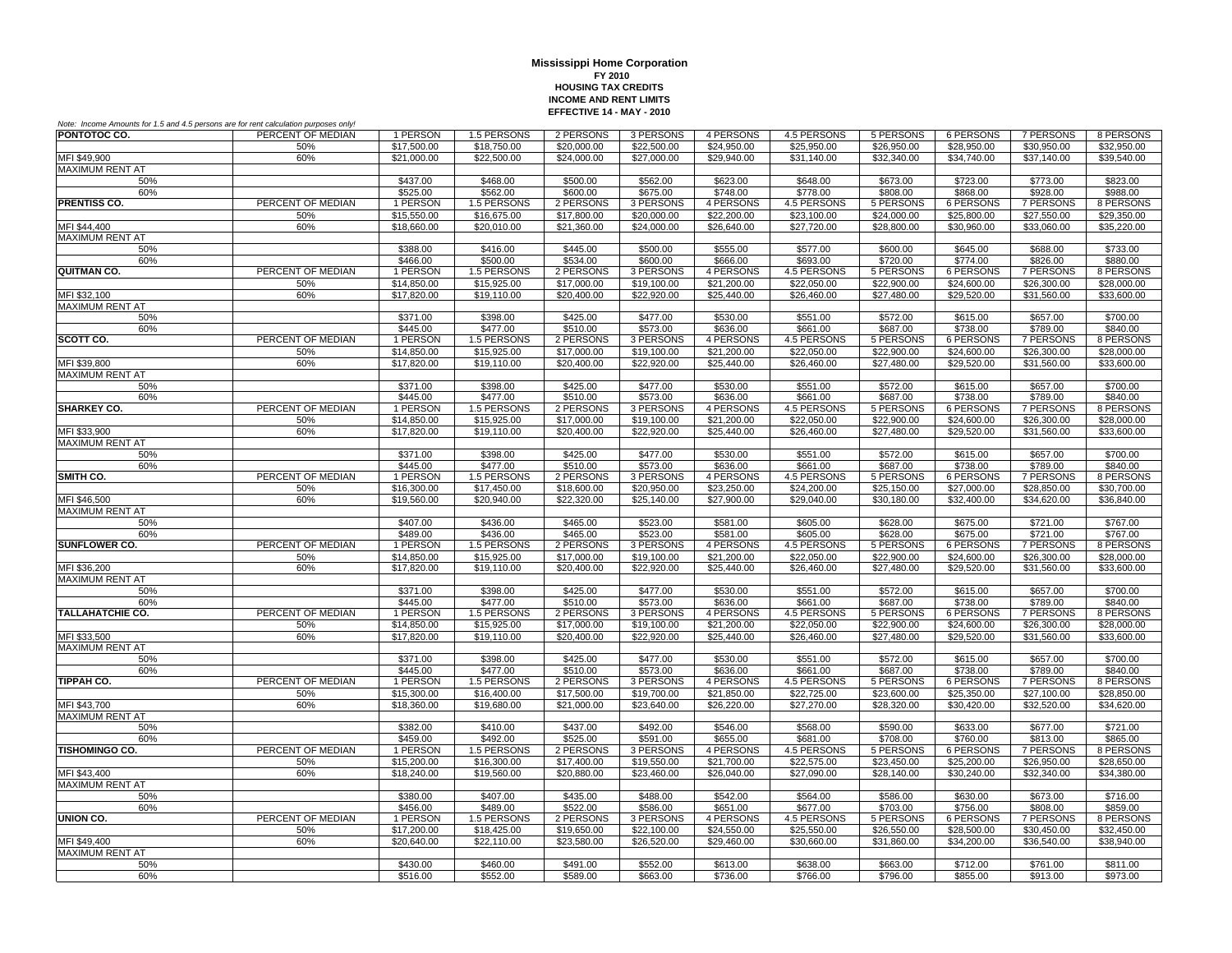| Note: Income Amounts for 1.5 and 4.5 persons are for rent calculation purposes only! |                   |                            |                            |                            |                            |                          |                            |                            |                            |                              |                            |
|--------------------------------------------------------------------------------------|-------------------|----------------------------|----------------------------|----------------------------|----------------------------|--------------------------|----------------------------|----------------------------|----------------------------|------------------------------|----------------------------|
| PONTOTOC CO.                                                                         | PERCENT OF MEDIAN | 1 PERSON                   | 1.5 PERSONS                | 2 PERSONS                  | 3 PERSONS                  | 4 PERSONS                | 4.5 PERSONS                | 5 PERSONS                  | 6 PERSONS                  | 7 PERSONS                    | 8 PERSONS                  |
|                                                                                      | 50%               | \$17,500.00                | \$18,750.00                | \$20,000.00                | \$22,500.00                | \$24,950.00              | \$25,950.00                | \$26,950.00                | \$28,950.00                | \$30,950.00                  | \$32.950.00                |
| MFI \$49,900                                                                         | 60%               | \$21,000.00                | \$22,500.00                | \$24,000.00                | \$27,000.00                | \$29,940.00              | \$31,140.00                | \$32,340.00                | \$34,740.00                | \$37,140.00                  | \$39,540.00                |
| <b>MAXIMUM RENT AT</b>                                                               |                   |                            |                            |                            |                            |                          |                            |                            |                            |                              |                            |
| 50%                                                                                  |                   | \$437.00                   | \$468.00                   | \$500.00                   | \$562.00                   | \$623.00                 | \$648.00                   | \$673.00                   | \$723.00                   | \$773.00                     | \$823.00                   |
| 60%                                                                                  | PERCENT OF MEDIAN | \$525.00                   | \$562.00                   | \$600.00                   | \$675.00                   | \$748.00                 | \$778.00                   | \$808.00                   | \$868.00                   | \$928.00                     | \$988.00                   |
| <b>PRENTISS CO.</b>                                                                  |                   | 1 PERSON                   | 1.5 PERSONS                | 2 PERSONS                  | 3 PERSONS                  | 4 PERSONS<br>\$22,200.00 | 4.5 PERSONS                | 5 PERSONS                  | 6 PERSONS                  | 7 PERSONS<br>\$27,550.00     | 8 PERSONS                  |
| MFI \$44.400                                                                         | 50%<br>60%        | \$15,550.00<br>\$18,660.00 | \$16,675.00<br>\$20,010.00 | \$17,800.00<br>\$21,360.00 | \$20,000.00<br>\$24,000.00 | \$26,640.00              | \$23,100.00<br>\$27,720.00 | \$24,000.00<br>\$28,800.00 | \$25,800.00<br>\$30,960.00 | \$33,060.00                  | \$29,350.00<br>\$35,220.00 |
| <b>MAXIMUM RENT AT</b>                                                               |                   |                            |                            |                            |                            |                          |                            |                            |                            |                              |                            |
| 50%                                                                                  |                   | \$388.00                   | \$416.00                   | \$445.00                   | \$500.00                   | \$555.00                 | \$577.00                   | \$600.00                   | \$645.00                   | \$688.00                     | \$733.00                   |
| 60%                                                                                  |                   | \$466.00                   | \$500.00                   | \$534.00                   | \$600.00                   | \$666.00                 | \$693.00                   | \$720.00                   | \$774.00                   | \$826.00                     | \$880.00                   |
| QUITMAN CO.                                                                          | PERCENT OF MEDIAN | 1 PERSON                   | 1.5 PERSONS                | 2 PERSONS                  | 3 PERSONS                  | 4 PERSONS                | 4.5 PERSONS                | 5 PERSONS                  | <b>6 PERSONS</b>           | <b>7 PERSONS</b>             | 8 PERSONS                  |
|                                                                                      | 50%               | \$14,850.00                | \$15,925.00                | \$17,000.00                | \$19,100.00                | \$21,200.00              | \$22,050.00                | \$22,900.00                | \$24,600.00                | \$26,300.00                  | \$28,000.00                |
| MFI \$32,100                                                                         | 60%               | \$17,820.00                | \$19,110.00                | \$20,400.00                | \$22,920.00                | \$25,440.00              | \$26,460.00                | \$27,480.00                | \$29,520.00                | \$31,560.00                  | \$33,600.00                |
| MAXIMUM RENT AT                                                                      |                   |                            |                            |                            |                            |                          |                            |                            |                            |                              |                            |
| 50%                                                                                  |                   | \$371.00                   | \$398.00                   | \$425.00                   | \$477.00                   | \$530.00                 | \$551.00                   | \$572.00                   | \$615.00                   | \$657.00                     | \$700.00                   |
| 60%                                                                                  |                   | \$445.00                   | \$477.00                   | \$510.00                   | \$573.00                   | \$636.00                 | \$661.00                   | \$687.00                   | \$738.00                   | \$789.00                     | \$840.00                   |
| SCOTT CO.                                                                            | PERCENT OF MEDIAN | 1 PERSON                   | 1.5 PERSONS                | 2 PERSONS                  | 3 PERSONS                  | 4 PERSONS                | 4.5 PERSONS                | 5 PERSONS                  | 6 PERSONS                  | 7 PERSONS                    | 8 PERSONS                  |
|                                                                                      | 50%               | \$14,850,00                | \$15,925.00                | \$17,000.00                | \$19,100.00                | \$21,200.00              | \$22,050.00                | \$22,900.00                | \$24,600.00                | \$26,300.00                  | \$28,000.00                |
| MFI \$39,800                                                                         | 60%               | \$17,820.00                | \$19,110.00                | \$20,400.00                | \$22,920.00                | \$25,440.00              | \$26,460.00                | \$27,480.00                | \$29,520.00                | \$31,560.00                  | \$33,600.00                |
| <b>MAXIMUM RENT AT</b>                                                               |                   |                            |                            |                            |                            |                          |                            |                            |                            |                              |                            |
| 50%                                                                                  |                   | \$371.00                   | \$398.00                   | \$425.00                   | \$477.00                   | \$530.00                 | \$551.00                   | \$572.00                   | \$615.00                   | \$657.00                     | \$700.00                   |
| 60%<br><b>SHARKEY CO.</b>                                                            | PERCENT OF MEDIAN | \$445.00<br>1 PERSON       | \$477.00<br>1.5 PERSONS    | \$510.00<br>2 PERSONS      | \$573.00<br>3 PERSONS      | \$636.00<br>4 PERSONS    | \$661.00<br>4.5 PERSONS    | \$687.00<br>5 PERSONS      | \$738.00<br>6 PERSONS      | \$789.00<br>7 PERSONS        | \$840.00<br>8 PERSONS      |
|                                                                                      | 50%               | \$14,850.00                | \$15,925.00                | \$17,000.00                | \$19,100.00                | \$21,200.00              | \$22,050.00                | \$22,900.00                | \$24,600.00                | \$26,300.00                  | \$28,000.00                |
| MFI \$33,900                                                                         | 60%               | \$17,820.00                | \$19,110.00                | \$20,400.00                | \$22,920.00                | \$25,440.00              | \$26,460.00                | \$27,480.00                | \$29,520.00                | \$31,560.00                  | \$33,600.00                |
| <b>MAXIMUM RENT AT</b>                                                               |                   |                            |                            |                            |                            |                          |                            |                            |                            |                              |                            |
| 50%                                                                                  |                   | \$371.00                   | \$398.00                   | \$425.00                   | \$477.00                   | \$530.00                 | \$551.00                   | \$572.00                   | \$615.00                   | \$657.00                     | \$700.00                   |
| 60%                                                                                  |                   | \$445.00                   | \$477.00                   | \$510.00                   | \$573.00                   | \$636.00                 | \$661.00                   | \$687.00                   | \$738.00                   | \$789.00                     | \$840.00                   |
| SMITH CO.                                                                            | PERCENT OF MEDIAN | 1 PERSON                   | 1.5 PERSONS                | 2 PERSONS                  | 3 PERSONS                  | 4 PERSONS                | 4.5 PERSONS                | 5 PERSONS                  | 6 PERSONS                  | <b>7 PERSONS</b>             | 8 PERSONS                  |
|                                                                                      | 50%               | \$16,300.00                | \$17,450.00                | \$18,600.00                | \$20,950.00                | \$23,250.00              | \$24,200.00                | \$25,150.00                | \$27,000.00                | \$28,850.00                  | \$30,700.00                |
| MFI \$46,500                                                                         | 60%               | \$19,560.00                | \$20.940.00                | \$22,320.00                | \$25,140.00                | \$27,900.00              | \$29,040.00                | \$30,180.00                | \$32,400.00                | \$34,620.00                  | \$36,840.00                |
| <b>MAXIMUM RENT AT</b>                                                               |                   |                            |                            |                            |                            |                          |                            |                            |                            |                              |                            |
| 50%                                                                                  |                   | \$407.00                   | \$436.00                   | \$465.00                   | \$523.00                   | \$581.00                 | \$605.00                   | \$628.00                   | \$675.00                   | \$721.00                     | \$767.00                   |
| 60%                                                                                  |                   | \$489.00                   | \$436.00                   | \$465.00                   | \$523.00                   | \$581.00                 | \$605.00                   | \$628.00                   | \$675.00                   | \$721.00                     | \$767.00                   |
| <b>SUNFLOWER CO.</b>                                                                 | PERCENT OF MEDIAN | 1 PERSON                   | 1.5 PERSONS                | 2 PERSONS                  | 3 PERSONS                  | 4 PERSONS                | <b>4.5 PERSONS</b>         | <b>5 PERSONS</b>           | <b>6 PERSONS</b>           | <b>7 PERSONS</b>             | 8 PERSONS                  |
|                                                                                      | 50%               | \$14,850.00                | \$15,925.00                | \$17,000.00                | \$19,100.00                | \$21,200.00              | \$22,050.00                | \$22,900.00                | \$24,600.00                | \$26,300.00                  | \$28,000.00                |
| MFI \$36,200                                                                         | 60%               | \$17,820.00                | \$19,110.00                | \$20,400.00                | \$22,920.00                | \$25,440.00              | \$26,460.00                | \$27,480.00                | \$29.520.00                | \$31,560.00                  | \$33,600.00                |
| <b>MAXIMUM RENT AT</b>                                                               |                   |                            |                            |                            |                            |                          |                            |                            |                            |                              |                            |
| 50%                                                                                  |                   | \$371.00                   | \$398.00                   | \$425.00                   | \$477.00                   | \$530.00                 | \$551.00                   | \$572.00                   | \$615.00                   | \$657.00                     | \$700.00                   |
| 60%<br><b>TALLAHATCHIE CO.</b>                                                       | PERCENT OF MEDIAN | \$445.00<br>1 PERSON       | \$477.00<br>1.5 PERSONS    | \$510.00<br>2 PERSONS      | \$573.00<br>3 PERSONS      | \$636.00<br>4 PERSONS    | \$661.00<br>4.5 PERSONS    | \$687.00<br>5 PERSONS      | \$738.00<br>6 PERSONS      | \$789.00<br>7 PERSONS        | \$840.00<br>8 PERSONS      |
|                                                                                      | 50%               | \$14,850.00                | \$15,925.00                | \$17,000.00                | \$19,100.00                | \$21,200.00              | \$22,050.00                | \$22,900.00                | \$24,600.00                | \$26,300.00                  | \$28,000.00                |
| MFI \$33,500                                                                         | 60%               | \$17,820.00                | \$19,110.00                | \$20,400.00                | \$22,920.00                | \$25,440.00              | \$26,460.00                | \$27,480.00                | \$29,520.00                | \$31,560.00                  | \$33,600.00                |
| <b>MAXIMUM RENT AT</b>                                                               |                   |                            |                            |                            |                            |                          |                            |                            |                            |                              |                            |
| 50%                                                                                  |                   | \$371.00                   | \$398.00                   | \$425.00                   | \$477.00                   | \$530.00                 | \$551.00                   | \$572.00                   | \$615.00                   | \$657.00                     | \$700.00                   |
| 60%                                                                                  |                   | \$445.00                   | \$477.00                   | \$510.00                   | \$573.00                   | \$636.00                 | \$661.00                   | \$687.00                   | \$738.00                   | \$789.00                     | \$840.00                   |
| TIPPAH CO.                                                                           | PERCENT OF MEDIAN | 1 PERSON                   | 1.5 PERSONS                | 2 PERSONS                  | 3 PERSONS                  | 4 PERSONS                | 4.5 PERSONS                | 5 PERSONS                  | 6 PERSONS                  | <b>7 PERSONS</b>             | 8 PERSONS                  |
|                                                                                      | 50%               | \$15,300.00                | \$16,400.00                | \$17,500.00                | \$19,700.00                | \$21,850.00              | \$22,725.00                | \$23,600.00                | \$25,350.00                | \$27,100.00                  | \$28,850.00                |
| MFI \$43,700                                                                         | 60%               | \$18,360.00                | \$19,680.00                | \$21,000.00                | \$23,640.00                | \$26,220.00              | \$27,270.00                | \$28,320.00                | \$30,420.00                | \$32,520.00                  | \$34,620.00                |
| <b>MAXIMUM RENT AT</b>                                                               |                   |                            |                            |                            |                            |                          |                            |                            |                            |                              |                            |
| 50%                                                                                  |                   | \$382.00                   | \$410.00                   | \$437.00                   | \$492.00                   | \$546.00                 | \$568.00                   | \$590.00                   | \$633.00                   | \$677.00                     | \$721.00                   |
| 60%                                                                                  |                   | \$459.00                   | \$492.00                   | \$525.00                   | \$591.00                   | \$655.00                 | \$681.00                   | \$708.00                   | \$760.00                   | \$813.00                     | \$865.00                   |
| <b>TISHOMINGO CO.</b>                                                                | PERCENT OF MEDIAN | 1 PERSON                   | 1.5 PERSONS                | 2 PERSONS                  | 3 PERSONS                  | 4 PERSONS                | 4.5 PERSONS                | 5 PERSONS                  | 6 PERSONS                  | 7 PERSONS                    | 8 PERSONS                  |
|                                                                                      | 50%               | \$15,200.00                | \$16,300.00                | \$17,400.00                | \$19,550.00                | \$21,700.00              | \$22,575.00                | \$23.450.00                | \$25,200.00                | \$26,950.00                  | \$28,650.00                |
| MFI \$43.400                                                                         | 60%               | \$18,240.00                | \$19,560.00                | \$20,880.00                | \$23,460.00                | \$26,040.00              | \$27,090.00                | \$28.140.00                | \$30.240.00                | \$32,340.00                  | \$34,380.00                |
| <b>MAXIMUM RENT AT</b>                                                               |                   |                            |                            |                            |                            |                          |                            |                            |                            |                              |                            |
| 50%                                                                                  |                   | \$380.00                   | \$407.00                   | \$435.00                   | \$488.00                   | \$542.00                 | \$564.00                   | \$586.00                   | \$630.00                   | \$673.00                     | \$716.00                   |
| 60%<br>UNION CO.                                                                     | PERCENT OF MEDIAN | \$456.00<br>1 PERSON       | \$489.00                   | \$522.00<br>2 PERSONS      | \$586.00                   | \$651.00<br>4 PERSONS    | \$677.00<br>4.5 PERSONS    | \$703.00                   | \$756.00<br>6 PERSONS      | \$808.00<br><b>7 PERSONS</b> | \$859.00                   |
|                                                                                      |                   | \$17,200.00                | 1.5 PERSONS                |                            | 3 PERSONS                  | \$24,550.00              | \$25,550.00                | 5 PERSONS<br>\$26,550.00   | \$28,500.00                |                              | 8 PERSONS                  |
| MFI \$49,400                                                                         | 50%<br>60%        | \$20,640.00                | \$18,425.00<br>\$22,110.00 | \$19,650.00<br>\$23,580.00 | \$22,100.00<br>\$26,520.00 | \$29,460.00              | \$30,660.00                | \$31,860.00                | \$34,200.00                | \$30,450.00<br>\$36,540.00   | \$32,450.00<br>\$38,940.00 |
| <b>MAXIMUM RENT AT</b>                                                               |                   |                            |                            |                            |                            |                          |                            |                            |                            |                              |                            |
| 50%                                                                                  |                   | \$430.00                   | \$460.00                   | \$491.00                   | \$552.00                   | \$613.00                 | \$638.00                   | \$663.00                   | \$712.00                   | \$761.00                     | \$811.00                   |
| 60%                                                                                  |                   | \$516.00                   | \$552.00                   | \$589.00                   | \$663.00                   | \$736.00                 | \$766.00                   | \$796.00                   | \$855.00                   | \$913.00                     | \$973.00                   |
|                                                                                      |                   |                            |                            |                            |                            |                          |                            |                            |                            |                              |                            |